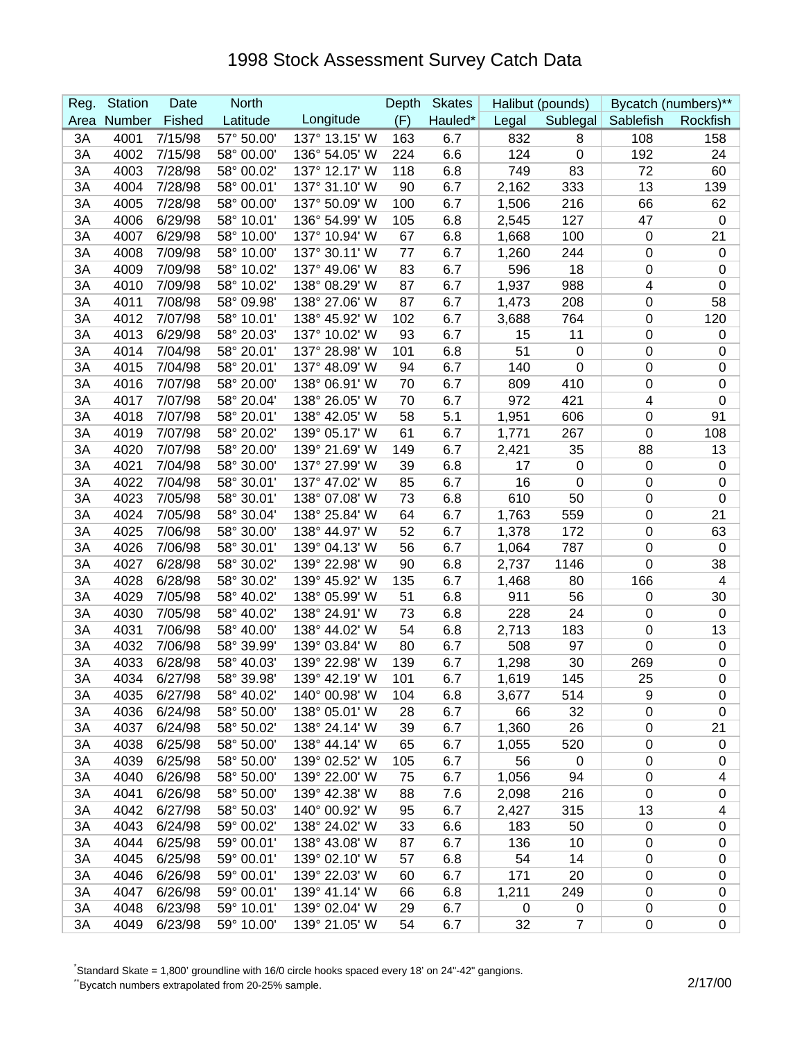| Reg. | <b>Station</b> | Date    | <b>North</b> |               | Depth | <b>Skates</b> |       | Halibut (pounds) |                  | Bycatch (numbers)** |
|------|----------------|---------|--------------|---------------|-------|---------------|-------|------------------|------------------|---------------------|
| Area | Number         | Fished  | Latitude     | Longitude     | (F)   | Hauled*       | Legal | Sublegal         | Sablefish        | Rockfish            |
| 3A   | 4001           | 7/15/98 | 57° 50.00'   | 137° 13.15' W | 163   | 6.7           | 832   | 8                | 108              | 158                 |
| 3A   | 4002           | 7/15/98 | 58° 00.00'   | 136° 54.05' W | 224   | 6.6           | 124   | $\mathbf 0$      | 192              | 24                  |
| 3A   | 4003           | 7/28/98 | 58° 00.02'   | 137° 12.17' W | 118   | 6.8           | 749   | 83               | 72               | 60                  |
| 3A   | 4004           | 7/28/98 | 58° 00.01'   | 137° 31.10' W | 90    | 6.7           | 2,162 | 333              | 13               | 139                 |
| 3A   | 4005           | 7/28/98 | 58° 00.00'   | 137° 50.09' W | 100   | 6.7           | 1,506 | 216              | 66               | 62                  |
| 3A   | 4006           | 6/29/98 | 58° 10.01'   | 136° 54.99' W | 105   | 6.8           | 2,545 | 127              | 47               | $\mathbf 0$         |
| 3A   | 4007           | 6/29/98 | 58° 10.00'   | 137° 10.94' W | 67    | 6.8           | 1,668 | 100              | $\mathbf 0$      | 21                  |
| 3A   | 4008           | 7/09/98 | 58° 10.00'   | 137° 30.11' W | 77    | 6.7           | 1,260 | 244              | $\boldsymbol{0}$ | $\mathbf 0$         |
| 3A   | 4009           | 7/09/98 | 58° 10.02'   | 137° 49.06' W | 83    | 6.7           | 596   | 18               | 0                | 0                   |
| 3A   | 4010           | 7/09/98 | 58° 10.02'   | 138° 08.29' W | 87    | 6.7           | 1,937 | 988              | 4                | 0                   |
| 3A   | 4011           | 7/08/98 | 58° 09.98'   | 138° 27.06' W | 87    | 6.7           | 1,473 | 208              | 0                | 58                  |
| 3A   | 4012           | 7/07/98 | 58° 10.01'   | 138° 45.92' W | 102   | 6.7           | 3,688 | 764              | 0                | 120                 |
| 3A   | 4013           | 6/29/98 | 58° 20.03'   | 137° 10.02' W | 93    | 6.7           | 15    | 11               | 0                | 0                   |
| 3A   | 4014           | 7/04/98 | 58° 20.01'   | 137° 28.98' W | 101   | 6.8           | 51    | $\boldsymbol{0}$ | 0                | 0                   |
| 3A   | 4015           | 7/04/98 | 58° 20.01'   | 137° 48.09' W | 94    | 6.7           | 140   | $\mathbf 0$      | 0                | $\pmb{0}$           |
| 3A   | 4016           | 7/07/98 | 58° 20.00'   | 138° 06.91' W | 70    | 6.7           | 809   | 410              | 0                | $\pmb{0}$           |
| 3A   | 4017           | 7/07/98 | 58° 20.04'   | 138° 26.05' W | 70    | 6.7           | 972   | 421              | 4                | $\pmb{0}$           |
| 3A   | 4018           | 7/07/98 | 58° 20.01'   | 138° 42.05' W | 58    | 5.1           | 1,951 | 606              | 0                | 91                  |
| 3A   | 4019           | 7/07/98 | 58° 20.02'   | 139° 05.17' W | 61    | 6.7           | 1,771 | 267              | $\boldsymbol{0}$ | 108                 |
| 3A   | 4020           | 7/07/98 | 58° 20.00'   | 139° 21.69' W | 149   | 6.7           | 2,421 | 35               | 88               | 13                  |
| 3A   | 4021           | 7/04/98 | 58° 30.00'   | 137° 27.99' W | 39    | 6.8           | 17    | $\mathbf 0$      | $\mathbf 0$      | $\pmb{0}$           |
| 3A   | 4022           | 7/04/98 | 58° 30.01'   | 137° 47.02' W | 85    | 6.7           | 16    | 0                | $\mathbf 0$      | 0                   |
| 3A   | 4023           | 7/05/98 | 58° 30.01'   | 138° 07.08' W | 73    | 6.8           | 610   | 50               | 0                | $\pmb{0}$           |
| 3A   | 4024           | 7/05/98 | 58° 30.04'   | 138° 25.84' W | 64    | 6.7           | 1,763 | 559              | $\boldsymbol{0}$ | 21                  |
| 3A   | 4025           | 7/06/98 | 58° 30.00'   | 138° 44.97' W | 52    | 6.7           | 1,378 | 172              | 0                | 63                  |
| 3A   | 4026           | 7/06/98 | 58° 30.01'   | 139° 04.13' W | 56    | 6.7           | 1,064 | 787              | 0                | 0                   |
| 3A   | 4027           | 6/28/98 | 58° 30.02'   | 139° 22.98' W | 90    | 6.8           | 2,737 | 1146             | $\mathbf 0$      | 38                  |
| 3A   | 4028           | 6/28/98 | 58° 30.02'   | 139° 45.92' W | 135   | 6.7           | 1,468 | 80               | 166              | 4                   |
| 3A   | 4029           | 7/05/98 | 58° 40.02'   | 138° 05.99' W | 51    | 6.8           | 911   | 56               | 0                | 30                  |
| 3A   | 4030           | 7/05/98 | 58° 40.02    | 138° 24.91' W | 73    | 6.8           | 228   | 24               | 0                | $\pmb{0}$           |
| 3A   | 4031           | 7/06/98 | 58° 40.00    | 138° 44.02' W | 54    | 6.8           | 2,713 | 183              | 0                | 13                  |
| 3A   | 4032           | 7/06/98 | 58° 39.99'   | 139° 03.84' W | 80    | 6.7           | 508   | 97               | 0                | $\mathbf 0$         |
| 3A   | 4033           | 6/28/98 | 58° 40.03'   | 139° 22.98' W | 139   | 6.7           | 1,298 | 30               | 269              | 0                   |
| 3A   | 4034           | 6/27/98 | 58° 39.98'   | 139° 42.19' W | 101   | 6.7           | 1,619 | 145              | 25               | $\mathbf 0$         |
| 3A   | 4035           | 6/27/98 | 58° 40.02'   | 140° 00.98' W | 104   | 6.8           | 3,677 | 514              | 9                | 0                   |
| 3A   | 4036           | 6/24/98 | 58° 50.00'   | 138° 05.01' W | 28    | 6.7           | 66    | 32               | 0                | 0                   |
| 3A   | 4037           | 6/24/98 | 58° 50.02'   | 138° 24.14' W | 39    | 6.7           | 1,360 | 26               | 0                | 21                  |
| 3A   | 4038           | 6/25/98 | 58° 50.00'   | 138° 44.14' W | 65    | 6.7           | 1,055 | 520              | 0                | 0                   |
| 3A   | 4039           | 6/25/98 | 58° 50.00'   | 139° 02.52' W | 105   | 6.7           | 56    | 0                | 0                | 0                   |
| 3A   | 4040           | 6/26/98 | 58° 50.00'   | 139° 22.00' W | 75    | 6.7           | 1,056 | 94               | 0                | 4                   |
| 3A   | 4041           | 6/26/98 | 58° 50.00'   | 139° 42.38' W | 88    | 7.6           | 2,098 | 216              | 0                | 0                   |
| 3A   | 4042           | 6/27/98 | 58° 50.03'   | 140° 00.92' W | 95    | 6.7           | 2,427 | 315              | 13               | 4                   |
| 3A   | 4043           | 6/24/98 | 59° 00.02'   | 138° 24.02' W | 33    | 6.6           | 183   | 50               | $\mathbf 0$      | 0                   |
| 3A   | 4044           | 6/25/98 | 59° 00.01'   | 138° 43.08' W | 87    | 6.7           | 136   | 10               | $\mathbf 0$      | 0                   |
| 3A   | 4045           | 6/25/98 | 59° 00.01'   | 139° 02.10' W | 57    | 6.8           | 54    | 14               | 0                | 0                   |
| 3A   | 4046           | 6/26/98 | 59° 00.01'   | 139° 22.03' W | 60    | 6.7           | 171   | 20               | 0                | 0                   |
| 3A   | 4047           | 6/26/98 | 59° 00.01'   | 139° 41.14' W | 66    | 6.8           | 1,211 | 249              | 0                | 0                   |
| 3A   | 4048           | 6/23/98 | 59° 10.01'   | 139° 02.04' W | 29    | 6.7           | 0     | 0                | 0                | 0                   |
| 3A   | 4049           | 6/23/98 | 59° 10.00'   | 139° 21.05' W | 54    | 6.7           | 32    | $\overline{7}$   | $\pmb{0}$        | 0                   |

\* Standard Skate = 1,800' groundline with 16/0 circle hooks spaced every 18' on 24"-42" gangions.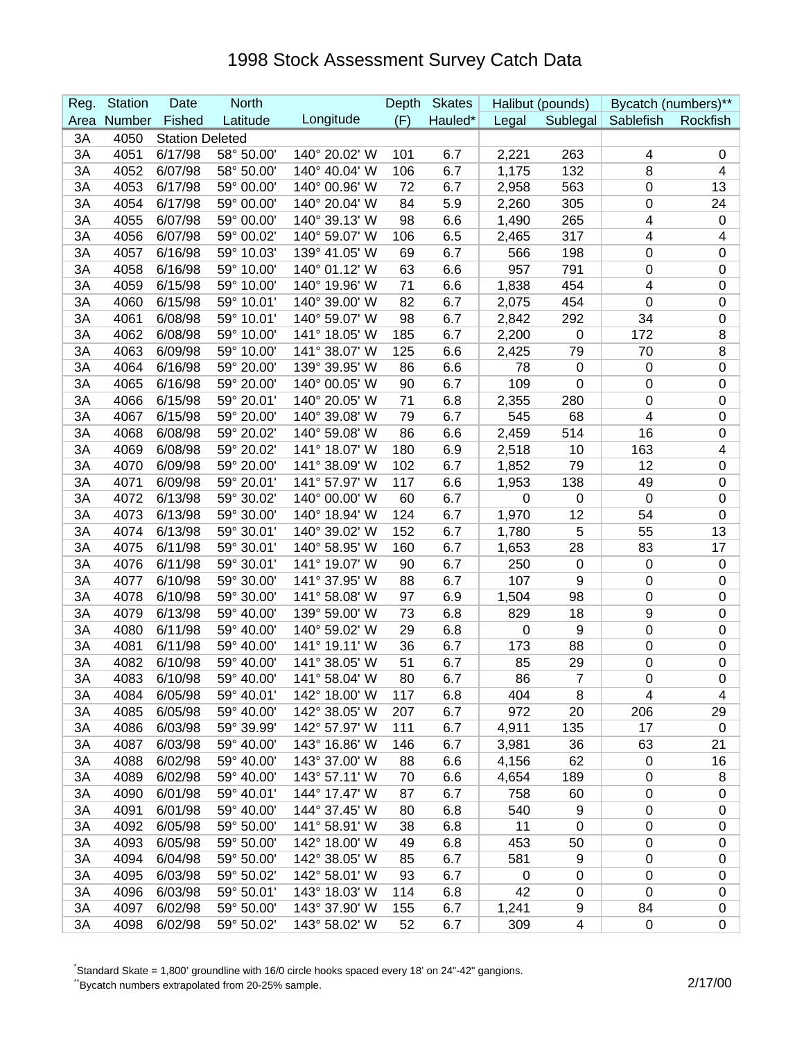| Reg. | <b>Station</b> | Date                   | <b>North</b> |               | Depth | <b>Skates</b> |             | Halibut (pounds)        | Bycatch (numbers)**     |             |
|------|----------------|------------------------|--------------|---------------|-------|---------------|-------------|-------------------------|-------------------------|-------------|
| Area | Number         | Fished                 | Latitude     | Longitude     | (F)   | Hauled*       | Legal       | Sublegal                | Sablefish               | Rockfish    |
| 3A   | 4050           | <b>Station Deleted</b> |              |               |       |               |             |                         |                         |             |
| 3A   | 4051           | 6/17/98                | 58° 50.00'   | 140° 20.02' W | 101   | 6.7           | 2,221       | 263                     | 4                       | 0           |
| 3A   | 4052           | 6/07/98                | 58° 50.00'   | 140° 40.04' W | 106   | 6.7           | 1,175       | 132                     | 8                       | 4           |
| 3A   | 4053           | 6/17/98                | 59° 00.00'   | 140° 00.96' W | 72    | 6.7           | 2,958       | 563                     | 0                       | 13          |
| 3A   | 4054           | 6/17/98                | 59° 00.00'   | 140° 20.04' W | 84    | 5.9           | 2,260       | 305                     | 0                       | 24          |
| 3A   | 4055           | 6/07/98                | 59° 00.00'   | 140° 39.13' W | 98    | 6.6           | 1,490       | 265                     | 4                       | $\mathbf 0$ |
| 3A   | 4056           | 6/07/98                | 59° 00.02'   | 140° 59.07' W | 106   | 6.5           | 2,465       | 317                     | 4                       | 4           |
| 3A   | 4057           | 6/16/98                | 59° 10.03'   | 139° 41.05' W | 69    | 6.7           | 566         | 198                     | 0                       | 0           |
| 3A   | 4058           | 6/16/98                | 59° 10.00'   | 140° 01.12' W | 63    | 6.6           | 957         | 791                     | 0                       | 0           |
| 3A   | 4059           | 6/15/98                | 59° 10.00'   | 140° 19.96' W | 71    | 6.6           | 1,838       | 454                     | 4                       | 0           |
| 3A   | 4060           | 6/15/98                | 59° 10.01'   | 140° 39.00' W | 82    | 6.7           | 2,075       | 454                     | $\mathbf 0$             | 0           |
| 3A   | 4061           | 6/08/98                | 59° 10.01'   | 140° 59.07' W | 98    | 6.7           | 2,842       | 292                     | 34                      | 0           |
| 3A   | 4062           | 6/08/98                | 59° 10.00'   | 141° 18.05' W | 185   | 6.7           | 2,200       | $\mathbf 0$             | 172                     | 8           |
| 3A   | 4063           | 6/09/98                | 59° 10.00'   | 141° 38.07' W | 125   | 6.6           | 2,425       | 79                      | 70                      | 8           |
| 3A   | 4064           | 6/16/98                | 59° 20.00'   | 139° 39.95' W | 86    | 6.6           | 78          | $\boldsymbol{0}$        | $\mathbf 0$             | $\pmb{0}$   |
| 3A   | 4065           | 6/16/98                | 59° 20.00'   | 140° 00.05' W | 90    | 6.7           | 109         | $\mathbf 0$             | 0                       | 0           |
| 3A   | 4066           | 6/15/98                | 59° 20.01'   | 140° 20.05' W | 71    | 6.8           | 2,355       | 280                     | 0                       | 0           |
| 3A   | 4067           | 6/15/98                | 59° 20.00'   | 140° 39.08' W | 79    | 6.7           | 545         | 68                      | 4                       | 0           |
| 3A   | 4068           | 6/08/98                | 59° 20.02'   | 140° 59.08' W | 86    | 6.6           | 2,459       | 514                     | 16                      | 0           |
| 3A   | 4069           | 6/08/98                | 59° 20.02'   | 141° 18.07' W | 180   | 6.9           | 2,518       | 10                      | 163                     | 4           |
| 3A   | 4070           | 6/09/98                | 59° 20.00'   | 141° 38.09' W | 102   | 6.7           | 1,852       | 79                      | 12                      | 0           |
| 3A   | 4071           | 6/09/98                | 59° 20.01'   | 141° 57.97' W | 117   | 6.6           | 1,953       | 138                     | 49                      | 0           |
| 3A   | 4072           | 6/13/98                | 59° 30.02'   | 140° 00.00' W | 60    | 6.7           | 0           | $\boldsymbol{0}$        | $\mathbf 0$             | 0           |
| 3A   | 4073           | 6/13/98                | 59° 30.00'   | 140° 18.94' W | 124   | 6.7           | 1,970       | 12                      | 54                      | 0           |
| 3A   | 4074           | 6/13/98                | 59° 30.01'   | 140° 39.02' W | 152   | 6.7           | 1,780       | 5                       | 55                      | 13          |
| 3A   | 4075           | 6/11/98                | 59° 30.01'   | 140° 58.95' W | 160   | 6.7           | 1,653       | 28                      | 83                      | 17          |
| 3A   | 4076           | 6/11/98                | 59° 30.01'   | 141° 19.07' W | 90    | 6.7           | 250         | $\boldsymbol{0}$        | $\mathbf 0$             | 0           |
| 3A   | 4077           | 6/10/98                | 59° 30.00'   | 141° 37.95' W | 88    | 6.7           | 107         | 9                       | 0                       | 0           |
| 3A   | 4078           | 6/10/98                | 59° 30.00'   | 141° 58.08' W | 97    | 6.9           | 1,504       | 98                      | 0                       | 0           |
| 3A   | 4079           | 6/13/98                | 59° 40.00'   | 139° 59.00' W | 73    | 6.8           | 829         | 18                      | 9                       | 0           |
| 3A   | 4080           | 6/11/98                | 59° 40.00'   | 140° 59.02' W | 29    | 6.8           | 0           | 9                       | $\boldsymbol{0}$        | 0           |
| 3A   | 4081           | 6/11/98                | 59° 40.00'   | 141° 19.11' W | 36    | 6.7           | 173         | 88                      | 0                       | 0           |
| 3A   | 4082           | 6/10/98                | 59° 40.00'   | 141° 38.05' W | 51    | 6.7           | 85          | 29                      | 0                       | $\pmb{0}$   |
| 3A   | 4083           | 6/10/98                | 59° 40.00'   | 141° 58.04' W | 80    | 6.7           | 86          | $\overline{7}$          | 0                       | 0           |
| 3A   | 4084           | 6/05/98                | 59° 40.01'   | 142° 18.00' W | 117   | 6.8           | 404         | 8                       | $\overline{\mathbf{4}}$ | 4           |
| 3A   | 4085           | 6/05/98                | 59° 40.00'   | 142° 38.05' W | 207   | 6.7           | 972         | 20                      | 206                     | 29          |
| 3A   | 4086           | 6/03/98                | 59° 39.99'   | 142° 57.97' W | 111   | 6.7           | 4,911       | 135                     | 17                      | 0           |
| 3A   | 4087           | 6/03/98                | 59° 40.00'   | 143° 16.86' W | 146   | 6.7           | 3,981       | 36                      | 63                      | 21          |
| 3A   | 4088           | 6/02/98                | 59° 40.00'   | 143° 37.00' W | 88    | 6.6           | 4,156       | 62                      | 0                       | 16          |
| 3A   | 4089           | 6/02/98                | 59° 40.00'   | 143° 57.11' W | 70    | 6.6           | 4,654       | 189                     | 0                       | 8           |
| 3A   | 4090           | 6/01/98                | 59° 40.01'   | 144° 17.47' W | 87    | 6.7           | 758         | 60                      | $\pmb{0}$               | 0           |
| 3A   | 4091           | 6/01/98                | 59° 40.00'   | 144° 37.45' W | 80    | 6.8           | 540         | 9                       | $\pmb{0}$               | 0           |
| 3A   | 4092           | 6/05/98                | 59° 50.00'   | 141° 58.91' W | 38    | 6.8           | 11          | $\mathbf 0$             | 0                       | 0           |
| 3A   | 4093           | 6/05/98                | 59° 50.00'   | 142° 18.00' W | 49    | 6.8           | 453         | 50                      | $\pmb{0}$               | 0           |
| 3A   | 4094           | 6/04/98                | 59° 50.00'   | 142° 38.05' W | 85    | 6.7           | 581         | 9                       | $\pmb{0}$               | 0           |
| 3A   | 4095           | 6/03/98                | 59° 50.02'   | 142° 58.01' W | 93    | 6.7           | $\mathbf 0$ | $\pmb{0}$               | $\pmb{0}$               | 0           |
| 3A   | 4096           | 6/03/98                | 59° 50.01'   | 143° 18.03' W | 114   | 6.8           | 42          | $\pmb{0}$               | $\boldsymbol{0}$        | 0           |
| 3A   | 4097           | 6/02/98                | 59° 50.00'   | 143° 37.90' W | 155   | 6.7           | 1,241       | 9                       | 84                      | 0           |
| 3A   | 4098           | 6/02/98                | 59° 50.02'   | 143° 58.02' W | 52    | 6.7           | 309         | $\overline{\mathbf{4}}$ | 0                       | 0           |

\* Standard Skate = 1,800' groundline with 16/0 circle hooks spaced every 18' on 24"-42" gangions.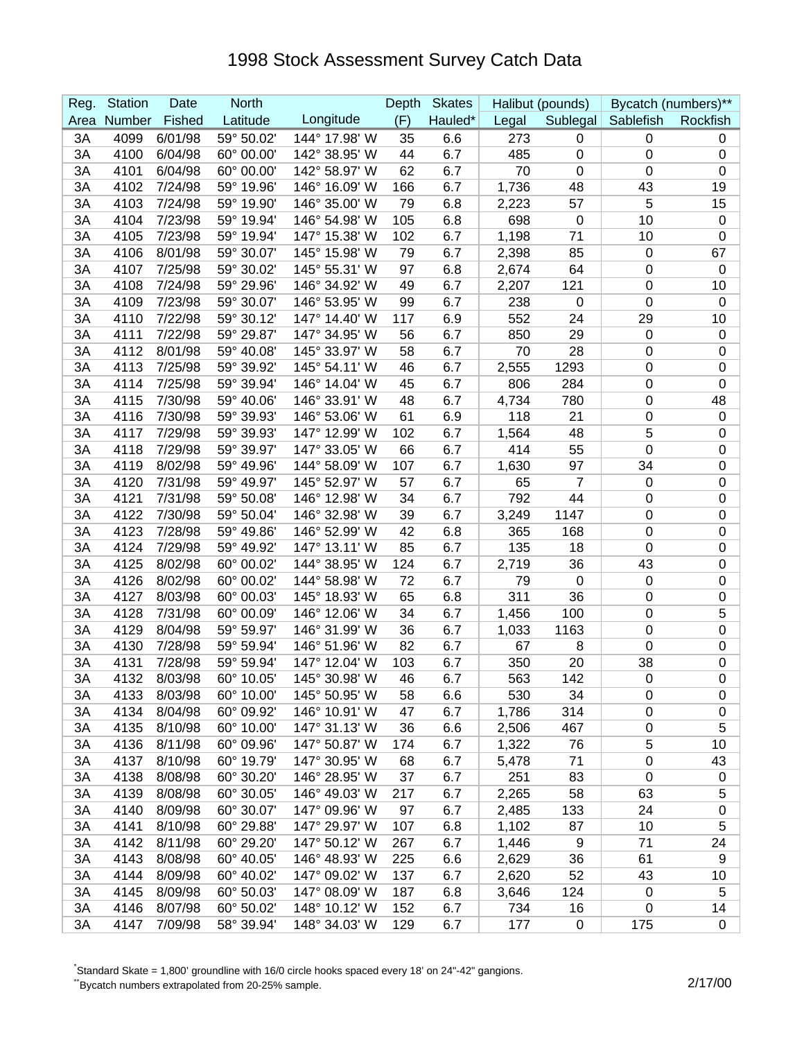| Reg. | <b>Station</b> | Date    | <b>North</b> |               | Depth | <b>Skates</b> |       | Halibut (pounds) |                  | Bycatch (numbers)** |
|------|----------------|---------|--------------|---------------|-------|---------------|-------|------------------|------------------|---------------------|
| Area | Number         | Fished  | Latitude     | Longitude     | (F)   | Hauled*       | Legal | Sublegal         | Sablefish        | Rockfish            |
| 3A   | 4099           | 6/01/98 | 59° 50.02'   | 144° 17.98' W | 35    | 6.6           | 273   | 0                | 0                | 0                   |
| 3A   | 4100           | 6/04/98 | 60° 00.00'   | 142° 38.95' W | 44    | 6.7           | 485   | $\boldsymbol{0}$ | 0                | 0                   |
| 3A   | 4101           | 6/04/98 | 60° 00.00'   | 142° 58.97' W | 62    | 6.7           | 70    | $\mathbf 0$      | 0                | 0                   |
| 3A   | 4102           | 7/24/98 | 59° 19.96'   | 146° 16.09' W | 166   | 6.7           | 1,736 | 48               | 43               | 19                  |
| 3A   | 4103           | 7/24/98 | 59° 19.90'   | 146° 35.00' W | 79    | 6.8           | 2,223 | 57               | 5                | 15                  |
| 3A   | 4104           | 7/23/98 | 59° 19.94'   | 146° 54.98' W | 105   | 6.8           | 698   | $\boldsymbol{0}$ | 10               | $\mathbf 0$         |
| 3A   | 4105           | 7/23/98 | 59° 19.94'   | 147° 15.38' W | 102   | 6.7           | 1,198 | 71               | 10               | 0                   |
| 3A   | 4106           | 8/01/98 | 59° 30.07'   | 145° 15.98' W | 79    | 6.7           | 2,398 | 85               | $\mathbf 0$      | 67                  |
| 3A   | 4107           | 7/25/98 | 59° 30.02'   | 145° 55.31' W | 97    | 6.8           | 2,674 | 64               | $\mathbf 0$      | $\mathbf 0$         |
| 3A   | 4108           | 7/24/98 | 59° 29.96'   | 146° 34.92' W | 49    | 6.7           | 2,207 | 121              | $\boldsymbol{0}$ | 10                  |
| 3A   | 4109           | 7/23/98 | 59° 30.07'   | 146° 53.95' W | 99    | 6.7           | 238   | $\mathbf 0$      | 0                | $\mathbf 0$         |
| 3A   | 4110           | 7/22/98 | 59° 30.12'   | 147° 14.40' W | 117   | 6.9           | 552   | 24               | 29               | 10                  |
| 3A   | 4111           | 7/22/98 | 59° 29.87'   | 147° 34.95' W | 56    | 6.7           | 850   | 29               | $\mathbf 0$      | 0                   |
| 3A   | 4112           | 8/01/98 | 59° 40.08'   | 145° 33.97' W | 58    | 6.7           | 70    | 28               | 0                | 0                   |
| 3A   | 4113           | 7/25/98 | 59° 39.92'   | 145° 54.11' W | 46    | 6.7           | 2,555 | 1293             | 0                | $\pmb{0}$           |
| 3A   | 4114           | 7/25/98 | 59° 39.94'   | 146° 14.04' W | 45    | 6.7           | 806   | 284              | 0                | $\boldsymbol{0}$    |
| 3A   | 4115           | 7/30/98 | 59° 40.06'   | 146° 33.91' W | 48    | 6.7           | 4,734 | 780              | 0                | 48                  |
| 3A   | 4116           | 7/30/98 | 59° 39.93'   | 146° 53.06' W | 61    | 6.9           | 118   | 21               | 0                | $\boldsymbol{0}$    |
| 3A   | 4117           | 7/29/98 | 59° 39.93'   | 147° 12.99' W | 102   | 6.7           | 1,564 | 48               | 5                | 0                   |
| 3A   | 4118           | 7/29/98 | 59° 39.97'   | 147° 33.05' W | 66    | 6.7           | 414   | 55               | $\mathbf 0$      | 0                   |
| 3A   | 4119           | 8/02/98 | 59° 49.96'   | 144° 58.09' W | 107   | 6.7           | 1,630 | 97               | 34               | 0                   |
| 3A   | 4120           | 7/31/98 | 59° 49.97'   | 145° 52.97' W | 57    | 6.7           | 65    | 7                | $\mathbf 0$      | 0                   |
| 3A   | 4121           | 7/31/98 | 59° 50.08'   | 146° 12.98' W | 34    | 6.7           | 792   | 44               | $\pmb{0}$        | 0                   |
| 3A   | 4122           | 7/30/98 | 59° 50.04'   | 146° 32.98' W | 39    | 6.7           | 3,249 | 1147             | $\boldsymbol{0}$ | $\pmb{0}$           |
| 3A   | 4123           | 7/28/98 | 59° 49.86'   | 146° 52.99' W | 42    | 6.8           | 365   | 168              | 0                | 0                   |
| 3A   | 4124           | 7/29/98 | 59° 49.92'   | 147° 13.11' W | 85    | 6.7           | 135   | 18               | 0                | 0                   |
| 3A   | 4125           | 8/02/98 | 60° 00.02'   | 144° 38.95' W | 124   | 6.7           | 2,719 | 36               | 43               | 0                   |
| 3A   | 4126           | 8/02/98 | 60° 00.02'   | 144° 58.98' W | 72    | 6.7           | 79    | $\mathbf 0$      | $\mathbf 0$      | $\pmb{0}$           |
| 3A   | 4127           | 8/03/98 | 60° 00.03'   | 145° 18.93' W | 65    | 6.8           | 311   | 36               | 0                | 0                   |
| 3A   | 4128           | 7/31/98 | 60° 00.09'   | 146° 12.06' W | 34    | 6.7           | 1,456 | 100              | 0                | 5                   |
| 3A   | 4129           | 8/04/98 | 59° 59.97'   | 146° 31.99' W | 36    | 6.7           | 1,033 | 1163             | 0                | $\boldsymbol{0}$    |
| 3A   | 4130           | 7/28/98 | 59° 59.94'   | 146° 51.96' W | 82    | 6.7           | 67    | 8                | 0                | 0                   |
| 3A   | 4131           | 7/28/98 | 59° 59.94'   | 147° 12.04' W | 103   | 6.7           | 350   | 20               | 38               | $\pmb{0}$           |
| 3A   | 4132           | 8/03/98 | 60° 10.05'   | 145° 30.98' W | 46    | 6.7           | 563   | 142              | $\mathbf{0}$     | $\mathbf 0$         |
| 3A   | 4133           | 8/03/98 | 60° 10.00'   | 145° 50.95' W | 58    | 6.6           | 530   | 34               | 0                | 0                   |
| 3A   | 4134           | 8/04/98 | 60° 09.92'   | 146° 10.91' W | 47    | 6.7           | 1,786 | 314              | 0                | 0                   |
| 3A   | 4135           | 8/10/98 | 60° 10.00'   | 147° 31.13' W | 36    | 6.6           | 2,506 | 467              | 0                | 5                   |
| 3A   | 4136           | 8/11/98 | 60° 09.96'   | 147° 50.87' W | 174   | 6.7           | 1,322 | 76               | 5                | 10                  |
| 3A   | 4137           | 8/10/98 | 60° 19.79'   | 147° 30.95' W | 68    | 6.7           | 5,478 | 71               | $\pmb{0}$        | 43                  |
| 3A   | 4138           | 8/08/98 | 60° 30.20'   | 146° 28.95' W | 37    | 6.7           | 251   | 83               | $\mathbf 0$      | 0                   |
| 3A   | 4139           | 8/08/98 | 60° 30.05'   | 146° 49.03' W | 217   | 6.7           | 2,265 | 58               | 63               | 5                   |
| 3A   | 4140           | 8/09/98 | 60° 30.07'   | 147° 09.96' W | 97    | 6.7           | 2,485 | 133              | 24               | 0                   |
| 3A   | 4141           | 8/10/98 | 60° 29.88'   | 147° 29.97' W | 107   | 6.8           | 1,102 | 87               | 10               | 5                   |
| 3A   | 4142           | 8/11/98 | 60° 29.20'   | 147° 50.12' W | 267   | 6.7           | 1,446 | 9                | 71               | 24                  |
| 3A   | 4143           | 8/08/98 | 60° 40.05'   | 146° 48.93' W | 225   | 6.6           | 2,629 | 36               | 61               | 9                   |
| 3A   | 4144           | 8/09/98 | 60° 40.02'   | 147° 09.02' W | 137   | 6.7           | 2,620 | 52               | 43               | 10                  |
| 3A   | 4145           | 8/09/98 | 60° 50.03'   | 147° 08.09' W | 187   | 6.8           | 3,646 | 124              | 0                | 5                   |
| 3A   | 4146           | 8/07/98 | 60° 50.02'   | 148° 10.12' W | 152   | 6.7           | 734   | 16               | $\mathbf 0$      | 14                  |
| 3A   | 4147           | 7/09/98 | 58° 39.94'   | 148° 34.03' W | 129   | 6.7           | 177   | 0                | 175              | $\mathbf 0$         |

\* Standard Skate = 1,800' groundline with 16/0 circle hooks spaced every 18' on 24"-42" gangions.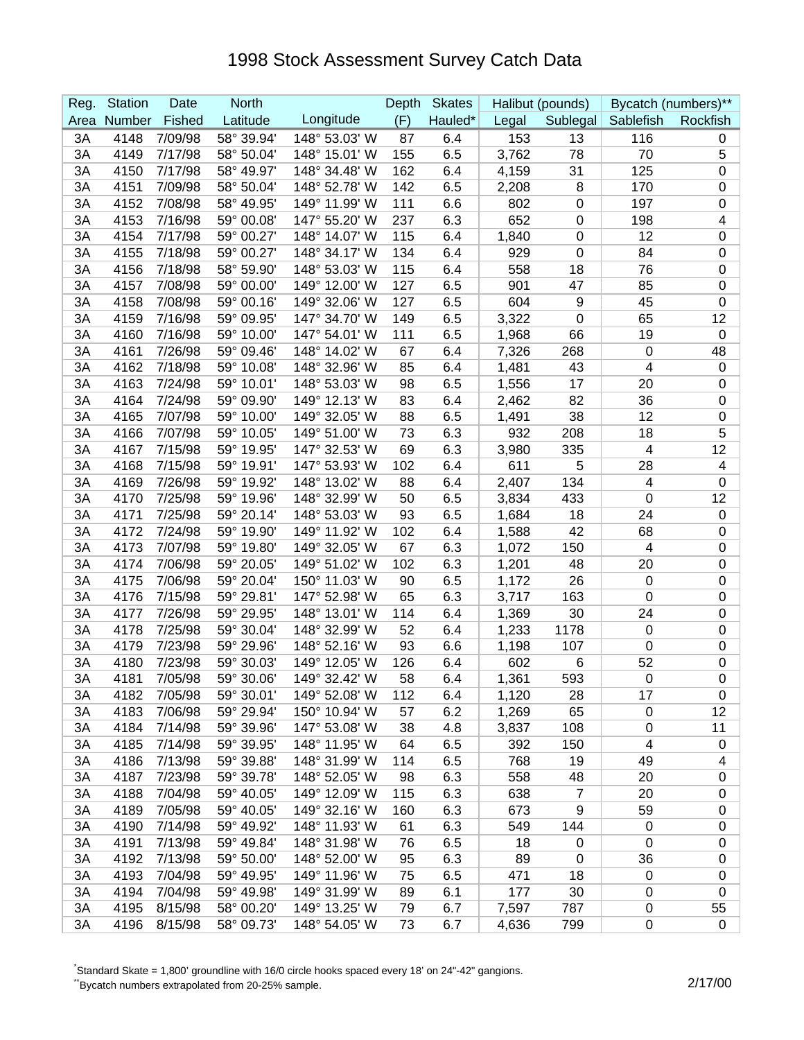| Reg. | <b>Station</b> | Date    | <b>North</b> |               | Depth | <b>Skates</b> |       | Halibut (pounds) | Bycatch (numbers)**      |             |
|------|----------------|---------|--------------|---------------|-------|---------------|-------|------------------|--------------------------|-------------|
| Area | Number         | Fished  | Latitude     | Longitude     | (F)   | Hauled*       | Legal | Sublegal         | Sablefish                | Rockfish    |
| 3A   | 4148           | 7/09/98 | 58° 39.94'   | 148° 53.03' W | 87    | 6.4           | 153   | 13               | 116                      | 0           |
| 3A   | 4149           | 7/17/98 | 58° 50.04'   | 148° 15.01' W | 155   | 6.5           | 3,762 | 78               | 70                       | 5           |
| 3A   | 4150           | 7/17/98 | 58° 49.97'   | 148° 34.48' W | 162   | 6.4           | 4,159 | 31               | 125                      | 0           |
| 3A   | 4151           | 7/09/98 | 58° 50.04'   | 148° 52.78' W | 142   | 6.5           | 2,208 | 8                | 170                      | 0           |
| 3A   | 4152           | 7/08/98 | 58° 49.95'   | 149° 11.99' W | 111   | 6.6           | 802   | $\boldsymbol{0}$ | 197                      | 0           |
| 3A   | 4153           | 7/16/98 | 59° 00.08'   | 147° 55.20' W | 237   | 6.3           | 652   | $\mathbf 0$      | 198                      | 4           |
| 3A   | 4154           | 7/17/98 | 59° 00.27'   | 148° 14.07' W | 115   | 6.4           | 1,840 | $\mathbf 0$      | 12                       | 0           |
| 3A   | 4155           | 7/18/98 | 59° 00.27'   | 148° 34.17' W | 134   | 6.4           | 929   | $\boldsymbol{0}$ | 84                       | 0           |
| 3A   | 4156           | 7/18/98 | 58° 59.90'   | 148° 53.03' W | 115   | 6.4           | 558   | 18               | 76                       | 0           |
| 3A   | 4157           | 7/08/98 | 59° 00.00'   | 149° 12.00' W | 127   | 6.5           | 901   | 47               | 85                       | 0           |
| 3A   | 4158           | 7/08/98 | 59° 00.16'   | 149° 32.06' W | 127   | 6.5           | 604   | $\boldsymbol{9}$ | 45                       | 0           |
| 3A   | 4159           | 7/16/98 | 59° 09.95'   | 147° 34.70' W | 149   | 6.5           | 3,322 | $\mathbf 0$      | 65                       | 12          |
| 3A   | 4160           | 7/16/98 | 59° 10.00'   | 147° 54.01' W | 111   | 6.5           | 1,968 | 66               | 19                       | 0           |
| 3A   | 4161           | 7/26/98 | 59° 09.46'   | 148° 14.02' W | 67    | 6.4           | 7,326 | 268              | $\mathbf 0$              | 48          |
| 3A   | 4162           | 7/18/98 | 59° 10.08'   | 148° 32.96' W | 85    | 6.4           | 1,481 | 43               | 4                        | 0           |
| 3A   | 4163           | 7/24/98 | 59° 10.01'   | 148° 53.03' W | 98    | 6.5           | 1,556 | 17               | 20                       | 0           |
| 3A   | 4164           | 7/24/98 | 59° 09.90'   | 149° 12.13' W | 83    | 6.4           | 2,462 | 82               | 36                       | $\pmb{0}$   |
| 3A   | 4165           | 7/07/98 | 59° 10.00'   | 149° 32.05' W | 88    | 6.5           | 1,491 | 38               | 12                       | 0           |
| 3A   | 4166           | 7/07/98 | 59° 10.05'   | 149° 51.00' W | 73    | 6.3           | 932   | 208              | 18                       | 5           |
| 3A   | 4167           | 7/15/98 | 59° 19.95'   | 147° 32.53' W | 69    | 6.3           | 3,980 | 335              | $\overline{\mathcal{A}}$ | 12          |
| 3A   | 4168           | 7/15/98 | 59° 19.91'   | 147° 53.93' W | 102   | 6.4           | 611   | 5                | 28                       | 4           |
| 3A   | 4169           | 7/26/98 | 59° 19.92'   | 148° 13.02' W | 88    | 6.4           | 2,407 | 134              | 4                        | 0           |
| 3A   | 4170           | 7/25/98 | 59° 19.96'   | 148° 32.99' W | 50    | 6.5           | 3,834 | 433              | $\mathbf 0$              | 12          |
| 3A   | 4171           | 7/25/98 | 59° 20.14'   | 148° 53.03' W | 93    | 6.5           | 1,684 | 18               | 24                       | $\pmb{0}$   |
| 3A   | 4172           | 7/24/98 | 59° 19.90'   | 149° 11.92' W | 102   | 6.4           | 1,588 | 42               | 68                       | 0           |
| 3A   | 4173           | 7/07/98 | 59° 19.80'   | 149° 32.05' W | 67    | 6.3           | 1,072 | 150              | 4                        | 0           |
| 3A   | 4174           | 7/06/98 | 59° 20.05'   | 149° 51.02' W | 102   | 6.3           | 1,201 | 48               | 20                       | 0           |
| 3A   | 4175           | 7/06/98 | 59° 20.04'   | 150° 11.03' W | 90    | 6.5           | 1,172 | 26               | $\mathbf 0$              | 0           |
| 3A   | 4176           | 7/15/98 | 59° 29.81'   | 147° 52.98' W | 65    | 6.3           | 3,717 | 163              | 0                        | 0           |
| 3A   | 4177           | 7/26/98 | 59° 29.95'   | 148° 13.01' W | 114   | 6.4           | 1,369 | 30               | 24                       | 0           |
| 3A   | 4178           | 7/25/98 | 59° 30.04'   | 148° 32.99' W | 52    | 6.4           | 1,233 | 1178             | $\mathbf 0$              | 0           |
| 3A   | 4179           | 7/23/98 | 59° 29.96'   | 148° 52.16' W | 93    | 6.6           | 1,198 | 107              | 0                        | 0           |
| 3A   | 4180           | 7/23/98 | 59° 30.03'   | 149° 12.05' W | 126   | 6.4           | 602   | 6                | 52                       | $\pmb{0}$   |
| 3A   | 4181           | 7/05/98 | 59° 30.06'   | 149° 32.42' W | 58    | 6.4           | 1,361 | 593              | 0                        | $\mathbf 0$ |
| 3A   | 4182           | 7/05/98 | 59° 30.01'   | 149° 52.08' W | 112   | 6.4           | 1,120 | 28               | 17                       | 0           |
| 3A   | 4183           | 7/06/98 | 59° 29.94'   | 150° 10.94' W | 57    | 6.2           | 1,269 | 65               | 0                        | 12          |
| 3A   | 4184           | 7/14/98 | 59° 39.96'   | 147° 53.08' W | 38    | 4.8           | 3,837 | 108              | $\pmb{0}$                | 11          |
| 3A   | 4185           | 7/14/98 | 59° 39.95'   | 148° 11.95' W | 64    | 6.5           | 392   | 150              | 4                        | 0           |
| 3A   | 4186           | 7/13/98 | 59° 39.88'   | 148° 31.99' W | 114   | 6.5           | 768   | 19               | 49                       | 4           |
| 3A   | 4187           | 7/23/98 | 59° 39.78'   | 148° 52.05' W | 98    | 6.3           | 558   | 48               | 20                       | $\pmb{0}$   |
| 3A   | 4188           | 7/04/98 | 59° 40.05'   | 149° 12.09' W | 115   | 6.3           | 638   | $\overline{7}$   | 20                       | 0           |
| 3A   | 4189           | 7/05/98 | 59° 40.05'   | 149° 32.16' W | 160   | 6.3           | 673   | 9                | 59                       | 0           |
| 3A   | 4190           | 7/14/98 | 59° 49.92'   | 148° 11.93' W | 61    | 6.3           | 549   | 144              | 0                        | 0           |
| 3A   | 4191           | 7/13/98 | 59° 49.84'   | 148° 31.98' W | 76    | 6.5           | 18    | 0                | $\mathbf 0$              | 0           |
| 3A   | 4192           | 7/13/98 | 59° 50.00'   | 148° 52.00' W | 95    | 6.3           | 89    | $\mathbf 0$      | 36                       | 0           |
| 3A   | 4193           | 7/04/98 | 59° 49.95'   | 149° 11.96' W | 75    | 6.5           | 471   | 18               | $\mathbf 0$              | 0           |
| 3A   | 4194           | 7/04/98 | 59° 49.98'   | 149° 31.99' W | 89    | 6.1           | 177   | 30               | $\mathbf 0$              | 0           |
| 3A   | 4195           | 8/15/98 | 58° 00.20'   | 149° 13.25' W | 79    | 6.7           | 7,597 | 787              | 0                        | 55          |
| 3A   | 4196           | 8/15/98 | 58° 09.73'   | 148° 54.05' W | 73    | 6.7           | 4,636 | 799              | $\pmb{0}$                | 0           |

\* Standard Skate = 1,800' groundline with 16/0 circle hooks spaced every 18' on 24"-42" gangions.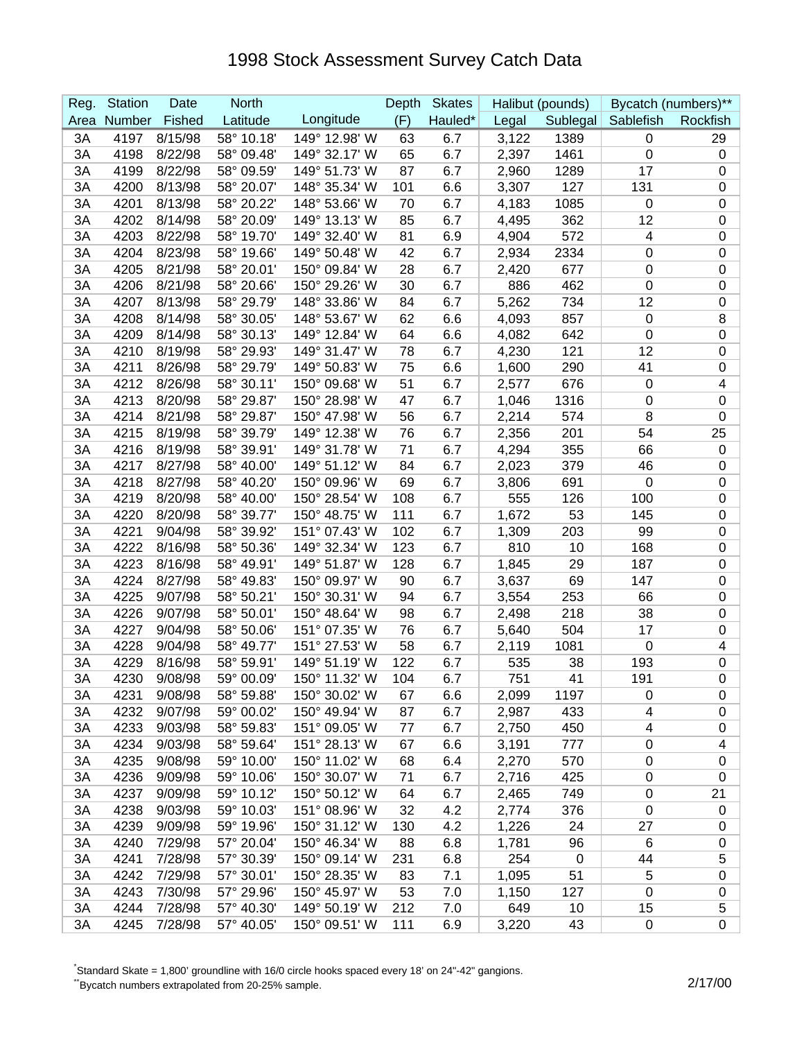| Reg. | <b>Station</b> | Date    | <b>North</b> |               | Depth | <b>Skates</b> |       | Halibut (pounds) |                         | Bycatch (numbers)**     |
|------|----------------|---------|--------------|---------------|-------|---------------|-------|------------------|-------------------------|-------------------------|
| Area | Number         | Fished  | Latitude     | Longitude     | (F)   | Hauled*       | Legal |                  | Sublegal Sablefish      | Rockfish                |
| 3A   | 4197           | 8/15/98 | 58° 10.18'   | 149° 12.98' W | 63    | 6.7           | 3,122 | 1389             | $\mathbf 0$             | 29                      |
| 3A   | 4198           | 8/22/98 | 58° 09.48'   | 149° 32.17' W | 65    | 6.7           | 2,397 | 1461             | 0                       | $\mathbf 0$             |
| 3A   | 4199           | 8/22/98 | 58° 09.59'   | 149° 51.73' W | 87    | 6.7           | 2,960 | 1289             | 17                      | 0                       |
| 3A   | 4200           | 8/13/98 | 58° 20.07'   | 148° 35.34' W | 101   | 6.6           | 3,307 | 127              | 131                     | 0                       |
| 3A   | 4201           | 8/13/98 | 58° 20.22'   | 148° 53.66' W | 70    | 6.7           | 4,183 | 1085             | 0                       | 0                       |
| 3A   | 4202           | 8/14/98 | 58° 20.09'   | 149° 13.13' W | 85    | 6.7           | 4,495 | 362              | 12                      | 0                       |
| 3A   | 4203           | 8/22/98 | 58° 19.70'   | 149° 32.40' W | 81    | 6.9           | 4,904 | 572              | $\overline{\mathbf{4}}$ | 0                       |
| 3A   | 4204           | 8/23/98 | 58° 19.66'   | 149° 50.48' W | 42    | 6.7           | 2,934 | 2334             | $\mathbf 0$             | $\mathbf 0$             |
| 3A   | 4205           | 8/21/98 | 58° 20.01'   | 150° 09.84' W | 28    | 6.7           | 2,420 | 677              | $\mathbf 0$             | $\pmb{0}$               |
| 3A   | 4206           | 8/21/98 | 58° 20.66'   | 150° 29.26' W | 30    | 6.7           | 886   | 462              | 0                       | $\pmb{0}$               |
| 3A   | 4207           | 8/13/98 | 58° 29.79'   | 148° 33.86' W | 84    | 6.7           | 5,262 | 734              | 12                      | $\pmb{0}$               |
| 3A   | 4208           | 8/14/98 | 58° 30.05'   | 148° 53.67' W | 62    | 6.6           | 4,093 | 857              | 0                       | 8                       |
| 3A   | 4209           | 8/14/98 | 58° 30.13'   | 149° 12.84' W | 64    | 6.6           | 4,082 | 642              | 0                       | 0                       |
| 3A   | 4210           | 8/19/98 | 58° 29.93'   | 149° 31.47' W | 78    | 6.7           | 4,230 | 121              | 12                      | 0                       |
| 3A   | 4211           | 8/26/98 | 58° 29.79'   | 149° 50.83' W | 75    | 6.6           | 1,600 | 290              | 41                      | $\pmb{0}$               |
| 3A   | 4212           | 8/26/98 | 58° 30.11'   | 150° 09.68' W | 51    | 6.7           | 2,577 | 676              | 0                       | $\overline{\mathbf{4}}$ |
| 3A   | 4213           | 8/20/98 | 58° 29.87'   | 150° 28.98' W | 47    | 6.7           | 1,046 | 1316             | 0                       | $\pmb{0}$               |
| 3A   | 4214           | 8/21/98 | 58° 29.87'   | 150° 47.98' W | 56    | 6.7           | 2,214 | 574              | 8                       | $\pmb{0}$               |
| 3A   | 4215           | 8/19/98 | 58° 39.79'   | 149° 12.38' W | 76    | 6.7           | 2,356 | 201              | 54                      | 25                      |
| 3A   | 4216           | 8/19/98 | 58° 39.91'   | 149° 31.78' W | 71    | 6.7           | 4,294 | 355              | 66                      | $\mathbf 0$             |
| 3A   | 4217           | 8/27/98 | 58° 40.00'   | 149° 51.12' W | 84    | 6.7           | 2,023 | 379              | 46                      | $\mathbf 0$             |
| 3A   | 4218           | 8/27/98 | 58° 40.20'   | 150° 09.96' W | 69    | 6.7           | 3,806 | 691              | $\mathbf 0$             | $\mathbf 0$             |
| 3A   | 4219           | 8/20/98 | 58° 40.00'   | 150° 28.54' W | 108   | 6.7           | 555   | 126              | 100                     | $\pmb{0}$               |
| 3A   | 4220           | 8/20/98 | 58° 39.77'   | 150° 48.75' W | 111   | 6.7           | 1,672 | 53               | 145                     | $\pmb{0}$               |
| 3A   | 4221           | 9/04/98 | 58° 39.92'   | 151° 07.43' W | 102   | 6.7           | 1,309 | 203              | 99                      | $\mathbf 0$             |
| 3A   | 4222           | 8/16/98 | 58° 50.36'   | 149° 32.34' W | 123   | 6.7           | 810   | 10               | 168                     | 0                       |
| 3A   | 4223           | 8/16/98 | 58° 49.91'   | 149° 51.87' W | 128   | 6.7           | 1,845 | 29               | 187                     | 0                       |
| 3A   | 4224           | 8/27/98 | 58° 49.83'   | 150° 09.97' W | 90    | 6.7           | 3,637 | 69               | 147                     | $\pmb{0}$               |
| 3A   | 4225           | 9/07/98 | 58° 50.21'   | 150° 30.31' W | 94    | 6.7           | 3,554 | 253              | 66                      | $\pmb{0}$               |
| 3A   | 4226           | 9/07/98 | 58° 50.01'   | 150° 48.64' W | 98    | 6.7           | 2,498 | 218              | 38                      | 0                       |
| 3A   | 4227           | 9/04/98 | 58° 50.06'   | 151° 07.35' W | 76    | 6.7           | 5,640 | 504              | 17                      | 0                       |
| 3A   | 4228           | 9/04/98 | 58° 49.77'   | 151° 27.53' W | 58    | 6.7           | 2,119 | 1081             | $\mathbf 0$             | 4                       |
| 3A   | 4229           | 8/16/98 | 58° 59.91'   | 149° 51.19' W | 122   | 6.7           | 535   | 38               | 193                     | 0                       |
| 3A   | 4230           | 9/08/98 | 59° 00.09'   | 150° 11.32' W | 104   | 6.7           | 751   | 41               | 191                     | $\overline{0}$          |
| 3A   | 4231           | 9/08/98 | 58° 59.88'   | 150° 30.02' W | 67    | 6.6           | 2,099 | 1197             | 0                       | 0                       |
| 3A   | 4232           | 9/07/98 | 59° 00.02'   | 150° 49.94' W | 87    | 6.7           | 2,987 | 433              | 4                       | 0                       |
| 3A   | 4233           | 9/03/98 | 58° 59.83'   | 151° 09.05' W | 77    | 6.7           | 2,750 | 450              | 4                       | $\pmb{0}$               |
| 3A   | 4234           | 9/03/98 | 58° 59.64'   | 151° 28.13' W | 67    | 6.6           | 3,191 | 777              | $\boldsymbol{0}$        | 4                       |
| 3A   | 4235           | 9/08/98 | 59° 10.00'   | 150° 11.02' W | 68    | 6.4           | 2,270 | 570              | $\pmb{0}$               | $\pmb{0}$               |
| 3A   | 4236           | 9/09/98 | 59° 10.06'   | 150° 30.07' W | 71    | 6.7           | 2,716 | 425              | 0                       | $\pmb{0}$               |
| 3A   | 4237           | 9/09/98 | 59° 10.12'   | 150° 50.12' W | 64    | 6.7           | 2,465 | 749              | 0                       | 21                      |
| 3A   | 4238           | 9/03/98 | 59° 10.03'   | 151° 08.96' W | 32    | 4.2           | 2,774 | 376              | 0                       | 0                       |
| 3A   | 4239           | 9/09/98 | 59° 19.96'   | 150° 31.12' W | 130   | 4.2           | 1,226 | 24               | 27                      | $\pmb{0}$               |
| 3A   | 4240           | 7/29/98 | 57° 20.04'   | 150° 46.34' W | 88    | 6.8           | 1,781 | 96               | 6                       | 0                       |
| 3A   | 4241           | 7/28/98 | 57° 30.39'   | 150° 09.14' W | 231   | 6.8           | 254   | 0                | 44                      | 5                       |
| 3A   | 4242           | 7/29/98 | 57° 30.01'   | 150° 28.35' W | 83    | 7.1           | 1,095 | 51               | $\sqrt{5}$              | $\pmb{0}$               |
| 3A   | 4243           | 7/30/98 | 57° 29.96'   | 150° 45.97' W | 53    | 7.0           | 1,150 | 127              | $\mathbf 0$             | 0                       |
| 3A   | 4244           | 7/28/98 | 57° 40.30'   | 149° 50.19' W | 212   | 7.0           | 649   | 10               | 15                      | 5                       |
| 3A   | 4245           | 7/28/98 | 57° 40.05'   | 150° 09.51' W | 111   | 6.9           | 3,220 | 43               | $\mathbf 0$             | 0                       |

\* Standard Skate = 1,800' groundline with 16/0 circle hooks spaced every 18' on 24"-42" gangions.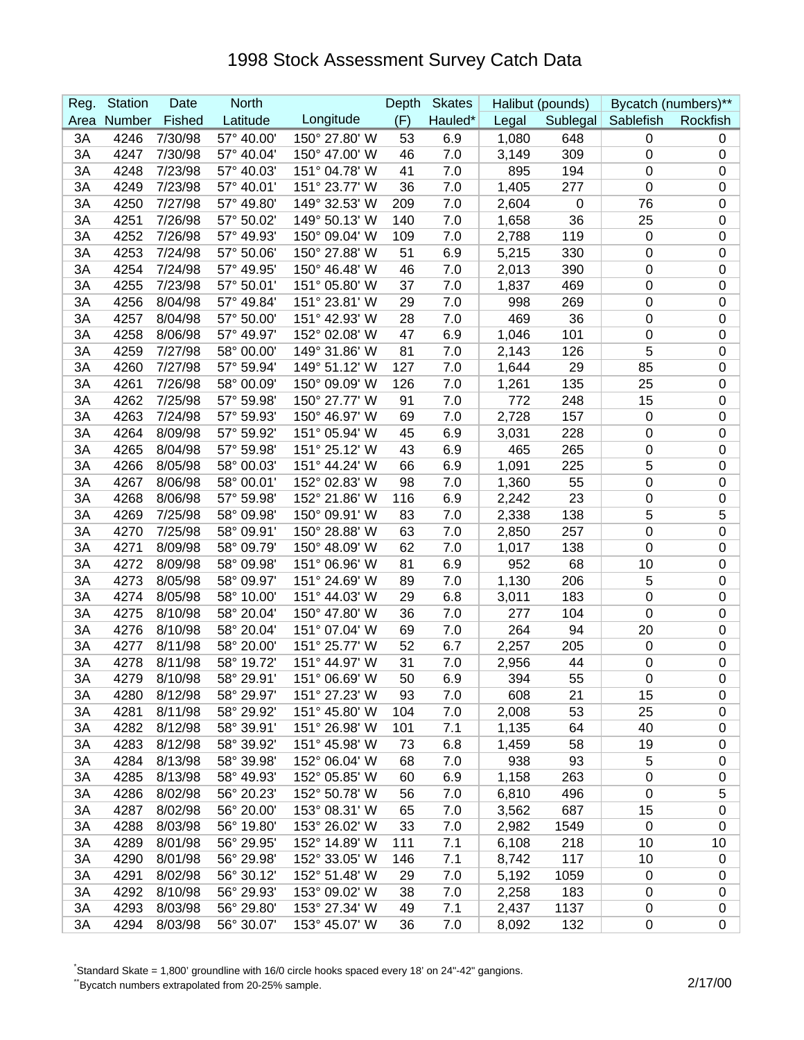| Reg. | <b>Station</b> | Date    | <b>North</b> |               | Depth | <b>Skates</b> |       | Halibut (pounds) |                    | Bycatch (numbers)** |
|------|----------------|---------|--------------|---------------|-------|---------------|-------|------------------|--------------------|---------------------|
| Area | Number         | Fished  | Latitude     | Longitude     | (F)   | Hauled*       | Legal |                  | Sublegal Sablefish | Rockfish            |
| 3A   | 4246           | 7/30/98 | 57° 40.00'   | 150° 27.80' W | 53    | 6.9           | 1,080 | 648              | $\mathbf 0$        | 0                   |
| 3A   | 4247           | 7/30/98 | 57° 40.04'   | 150° 47.00' W | 46    | 7.0           | 3,149 | 309              | 0                  | 0                   |
| 3A   | 4248           | 7/23/98 | 57° 40.03'   | 151° 04.78' W | 41    | 7.0           | 895   | 194              | $\boldsymbol{0}$   | $\pmb{0}$           |
| 3A   | 4249           | 7/23/98 | 57° 40.01'   | 151° 23.77' W | 36    | 7.0           | 1,405 | 277              | $\boldsymbol{0}$   | 0                   |
| 3A   | 4250           | 7/27/98 | 57° 49.80'   | 149° 32.53' W | 209   | 7.0           | 2,604 | 0                | 76                 | 0                   |
| 3A   | 4251           | 7/26/98 | 57° 50.02'   | 149° 50.13' W | 140   | 7.0           | 1,658 | 36               | 25                 | 0                   |
| 3A   | 4252           | 7/26/98 | 57° 49.93'   | 150° 09.04' W | 109   | 7.0           | 2,788 | 119              | $\mathbf 0$        | 0                   |
| 3A   | 4253           | 7/24/98 | 57° 50.06'   | 150° 27.88' W | 51    | 6.9           | 5,215 | 330              | $\mathbf 0$        | 0                   |
| 3A   | 4254           | 7/24/98 | 57° 49.95'   | 150° 46.48' W | 46    | 7.0           | 2,013 | 390              | $\mathbf 0$        | $\mathbf 0$         |
| 3A   | 4255           | 7/23/98 | 57° 50.01'   | 151° 05.80' W | 37    | 7.0           | 1,837 | 469              | $\mathbf 0$        | $\mathbf 0$         |
| 3A   | 4256           | 8/04/98 | 57° 49.84'   | 151° 23.81' W | 29    | 7.0           | 998   | 269              | 0                  | $\boldsymbol{0}$    |
| 3A   | 4257           | 8/04/98 | 57° 50.00'   | 151° 42.93' W | 28    | 7.0           | 469   | 36               | 0                  | $\boldsymbol{0}$    |
| 3A   | 4258           | 8/06/98 | 57° 49.97'   | 152° 02.08' W | 47    | 6.9           | 1,046 | 101              | 0                  | 0                   |
| 3A   | 4259           | 7/27/98 | 58° 00.00'   | 149° 31.86' W | 81    | 7.0           | 2,143 | 126              | 5                  | 0                   |
| 3A   | 4260           | 7/27/98 | 57° 59.94'   | 149° 51.12' W | 127   | 7.0           | 1,644 | 29               | 85                 | $\pmb{0}$           |
| 3A   | 4261           | 7/26/98 | 58° 00.09'   | 150° 09.09' W | 126   | 7.0           | 1,261 | 135              | 25                 | $\pmb{0}$           |
| 3A   | 4262           | 7/25/98 | 57° 59.98'   | 150° 27.77' W | 91    | 7.0           | 772   | 248              | 15                 | $\pmb{0}$           |
| 3A   | 4263           | 7/24/98 | 57° 59.93'   | 150° 46.97' W | 69    | 7.0           | 2,728 | 157              | $\mathbf 0$        | 0                   |
| 3A   | 4264           | 8/09/98 | 57° 59.92'   | 151° 05.94' W | 45    | 6.9           | 3,031 | 228              | 0                  | $\mathbf 0$         |
| 3A   | 4265           | 8/04/98 | 57° 59.98'   | 151° 25.12' W | 43    | 6.9           | 465   | 265              | $\pmb{0}$          | 0                   |
| 3A   | 4266           | 8/05/98 | 58° 00.03'   | 151° 44.24' W | 66    | 6.9           | 1,091 | 225              | 5                  | $\pmb{0}$           |
| 3A   | 4267           | 8/06/98 | 58° 00.01'   | 152° 02.83' W | 98    | 7.0           | 1,360 | 55               | $\boldsymbol{0}$   | $\mathbf 0$         |
| 3A   | 4268           | 8/06/98 | 57° 59.98'   | 152° 21.86' W | 116   | 6.9           | 2,242 | 23               | $\mathbf 0$        | $\pmb{0}$           |
| 3A   | 4269           | 7/25/98 | 58° 09.98'   | 150° 09.91' W | 83    | 7.0           | 2,338 | 138              | 5                  | 5                   |
| 3A   | 4270           | 7/25/98 | 58° 09.91'   | 150° 28.88' W | 63    | 7.0           | 2,850 | 257              | 0                  | 0                   |
| 3A   | 4271           | 8/09/98 | 58° 09.79'   | 150° 48.09' W | 62    | 7.0           | 1,017 | 138              | 0                  | 0                   |
| 3A   | 4272           | 8/09/98 | 58° 09.98'   | 151° 06.96' W | 81    | 6.9           | 952   | 68               | 10                 | 0                   |
| 3A   | 4273           | 8/05/98 | 58° 09.97'   | 151° 24.69' W | 89    | 7.0           | 1,130 | 206              | 5                  | $\pmb{0}$           |
| 3A   | 4274           | 8/05/98 | 58° 10.00'   | 151° 44.03' W | 29    | 6.8           | 3,011 | 183              | 0                  | $\pmb{0}$           |
| 3A   | 4275           | 8/10/98 | 58° 20.04'   | 150° 47.80' W | 36    | 7.0           | 277   | 104              | 0                  | 0                   |
| 3A   | 4276           | 8/10/98 | 58° 20.04'   | 151° 07.04' W | 69    | 7.0           | 264   | 94               | 20                 | 0                   |
| 3A   | 4277           | 8/11/98 | 58° 20.00'   | 151° 25.77' W | 52    | 6.7           | 2,257 | 205              | $\mathbf 0$        | 0                   |
| 3A   | 4278           | 8/11/98 | 58° 19.72'   | 151° 44.97' W | 31    | 7.0           | 2,956 | 44               | $\boldsymbol{0}$   | 0                   |
| 3A   | 4279           | 8/10/98 | 58° 29.91'   | 151° 06.69' W | 50    | 6.9           | 394   | 55               | $\mathbf 0$        | $\overline{0}$      |
| 3A   | 4280           | 8/12/98 | 58° 29.97'   | 151° 27.23' W | 93    | 7.0           | 608   | 21               | 15                 | 0                   |
| 3A   | 4281           | 8/11/98 | 58° 29.92'   | 151° 45.80' W | 104   | 7.0           | 2,008 | 53               | 25                 | 0                   |
| 3A   | 4282           | 8/12/98 | 58° 39.91'   | 151° 26.98' W | 101   | 7.1           | 1,135 | 64               | 40                 | $\pmb{0}$           |
| 3A   | 4283           | 8/12/98 | 58° 39.92'   | 151° 45.98' W | 73    | 6.8           | 1,459 | 58               | 19                 | $\pmb{0}$           |
| 3A   | 4284           | 8/13/98 | 58° 39.98'   | 152° 06.04' W | 68    | 7.0           | 938   | 93               | 5                  | 0                   |
| 3A   | 4285           | 8/13/98 | 58° 49.93'   | 152° 05.85' W | 60    | 6.9           | 1,158 | 263              | $\pmb{0}$          | $\pmb{0}$           |
| 3A   | 4286           | 8/02/98 | 56° 20.23'   | 152° 50.78' W | 56    | 7.0           | 6,810 | 496              | $\pmb{0}$          | 5                   |
| 3A   | 4287           | 8/02/98 | 56° 20.00'   | 153° 08.31' W | 65    | 7.0           | 3,562 | 687              | 15                 | 0                   |
| 3A   | 4288           | 8/03/98 | 56° 19.80'   | 153° 26.02' W | 33    | 7.0           | 2,982 | 1549             | $\mathbf 0$        | $\pmb{0}$           |
| 3A   | 4289           | 8/01/98 | 56° 29.95'   | 152° 14.89' W | 111   | 7.1           | 6,108 | 218              | 10                 | 10                  |
| 3A   | 4290           | 8/01/98 | 56° 29.98'   | 152° 33.05' W | 146   | 7.1           | 8,742 | 117              | 10                 | 0                   |
| 3A   | 4291           | 8/02/98 | 56° 30.12'   | 152° 51.48' W | 29    | 7.0           | 5,192 | 1059             | $\mathbf 0$        | 0                   |
| 3A   | 4292           | 8/10/98 | 56° 29.93'   | 153° 09.02' W | 38    | 7.0           | 2,258 | 183              | $\mathbf 0$        | 0                   |
| 3A   | 4293           | 8/03/98 | 56° 29.80'   | 153° 27.34' W | 49    | 7.1           | 2,437 | 1137             | 0                  | 0                   |
| 3A   | 4294           | 8/03/98 | 56° 30.07'   | 153° 45.07' W | 36    | 7.0           | 8,092 | 132              | $\boldsymbol{0}$   | 0                   |

\* Standard Skate = 1,800' groundline with 16/0 circle hooks spaced every 18' on 24"-42" gangions.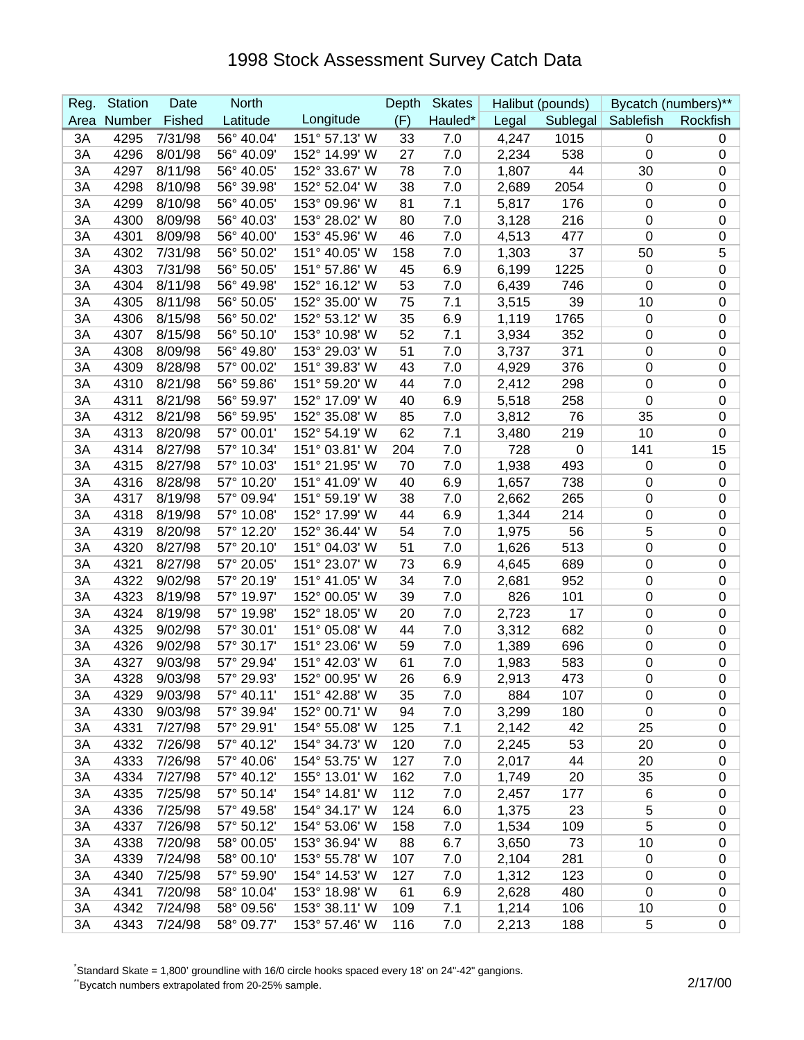| Fished<br>Latitude<br>Longitude<br>(F)<br>Hauled*<br>Number<br>Legal<br>Sublegal Sablefish<br>Rockfish<br>Area<br>56° 40.04'<br>4295<br>7/31/98<br>151° 57.13' W<br>33<br>4,247<br>1015<br>3A<br>7.0<br>$\mathbf 0$<br>0<br>4296<br>8/01/98<br>56° 40.09'<br>152° 14.99' W<br>27<br>7.0<br>2,234<br>538<br>0<br>3A<br>0<br>4297<br>8/11/98<br>56° 40.05'<br>152° 33.67' W<br>7.0<br>44<br>30<br>$\pmb{0}$<br>3A<br>78<br>1,807<br>4298<br>8/10/98<br>56° 39.98'<br>152° 52.04' W<br>38<br>7.0<br>2,689<br>2054<br>3A<br>0<br>0<br>81<br>7.1<br>3A<br>4299<br>8/10/98<br>56° 40.05'<br>153° 09.96' W<br>5,817<br>176<br>0<br>0<br>3A<br>4300<br>8/09/98<br>56° 40.03'<br>153° 28.02' W<br>7.0<br>0<br>0<br>80<br>3,128<br>216<br>4301<br>56° 40.00'<br>153° 45.96' W<br>3A<br>8/09/98<br>46<br>7.0<br>4,513<br>477<br>0<br>0<br>5<br>4302<br>7/31/98<br>56° 50.02'<br>151° 40.05' W<br>37<br>3A<br>158<br>7.0<br>1,303<br>50<br>4303<br>56° 50.05'<br>151° 57.86' W<br>6.9<br>1225<br>$\boldsymbol{0}$<br>3A<br>7/31/98<br>45<br>6,199<br>$\mathbf 0$<br>152° 16.12' W<br>4304<br>8/11/98<br>56° 49.98'<br>3A<br>53<br>7.0<br>6,439<br>746<br>0<br>$\pmb{0}$<br>4305<br>56° 50.05'<br>152° 35.00' W<br>7.1<br>39<br>$\boldsymbol{0}$<br>3A<br>8/11/98<br>75<br>3,515<br>10<br>6.9<br>4306<br>8/15/98<br>56° 50.02'<br>152° 53.12' W<br>35<br>1765<br>$\boldsymbol{0}$<br>3A<br>1,119<br>0<br>4307<br>8/15/98<br>56° 50.10'<br>153° 10.98' W<br>52<br>7.1<br>352<br>0<br>0<br>3A<br>3,934<br>56° 49.80'<br>4308<br>8/09/98<br>153° 29.03' W<br>51<br>7.0<br>371<br>$\boldsymbol{0}$<br>0<br>3A<br>3,737<br>7.0<br>4309<br>8/28/98<br>57° 00.02'<br>151° 39.83' W<br>4,929<br>376<br>$\boldsymbol{0}$<br>$\pmb{0}$<br>3A<br>43<br>4310<br>56° 59.86'<br>151° 59.20' W<br>7.0<br>298<br>$\boldsymbol{0}$<br>$\pmb{0}$<br>3A<br>8/21/98<br>44<br>2,412<br>4311<br>56° 59.97'<br>152° 17.09' W<br>6.9<br>5,518<br>258<br>$\boldsymbol{0}$<br>3A<br>8/21/98<br>40<br>0<br>3A<br>4312<br>8/21/98<br>56° 59.95'<br>152° 35.08' W<br>85<br>7.0<br>76<br>35<br>0<br>3,812<br>4313<br>152° 54.19' W<br>62<br>219<br>10<br>3A<br>8/20/98<br>57° 00.01'<br>7.1<br>3,480<br>0<br>57° 10.34'<br>151° 03.81' W<br>7.0<br>728<br>141<br>15<br>3A<br>4314<br>8/27/98<br>204<br>0<br>4315<br>8/27/98<br>57° 10.03'<br>151° 21.95' W<br>$\pmb{0}$<br>3A<br>70<br>7.0<br>1,938<br>493<br>$\pmb{0}$<br>4316<br>57° 10.20'<br>151° 41.09' W<br>40<br>6.9<br>3A<br>8/28/98<br>1,657<br>738<br>$\mathbf 0$<br>$\mathbf 0$<br>4317<br>57° 09.94'<br>151° 59.19' W<br>3A<br>8/19/98<br>38<br>7.0<br>2,662<br>265<br>$\mathbf 0$<br>$\pmb{0}$<br>4318<br>152° 17.99' W<br>44<br>6.9<br>$\boldsymbol{0}$<br>$\mathbf 0$<br>3A<br>8/19/98<br>57° 10.08'<br>1,344<br>214<br>5<br>4319<br>8/20/98<br>57° 12.20'<br>152° 36.44' W<br>54<br>7.0<br>1,975<br>0<br>3A<br>56<br>57° 20.10'<br>513<br>4320<br>151° 04.03' W<br>51<br>7.0<br>1,626<br>$\boldsymbol{0}$<br>0<br>3A<br>8/27/98<br>57° 20.05'<br>4321<br>8/27/98<br>151° 23.07' W<br>6.9<br>0<br>0<br>3A<br>73<br>4,645<br>689<br>4322<br>57° 20.19'<br>151° 41.05' W<br>34<br>7.0<br>952<br>$\boldsymbol{0}$<br>$\pmb{0}$<br>3A<br>9/02/98<br>2,681<br>4323<br>8/19/98<br>57° 19.97'<br>152° 00.05' W<br>39<br>7.0<br>826<br>$\boldsymbol{0}$<br>$\pmb{0}$<br>3A<br>101<br>4324<br>7.0<br>17<br>$\boldsymbol{0}$<br>3A<br>8/19/98<br>57° 19.98'<br>152° 18.05' W<br>20<br>2,723<br>0<br>4325<br>9/02/98<br>151° 05.08' W<br>44<br>7.0<br>0<br>0<br>3A<br>57° 30.01'<br>3,312<br>682<br>4326<br>57° 30.17'<br>151° 23.06' W<br>3A<br>9/02/98<br>59<br>7.0<br>1,389<br>696<br>0<br>0<br>4327<br>9/03/98<br>57° 29.94'<br>151° 42.03' W<br>7.0<br>0<br>0<br>3A<br>61<br>1,983<br>583<br>3A<br>57° 29.93'<br>152° 00.95' W<br>6.9<br>$\mathbf 0$<br>$\mathbf 0$<br>4328<br>9/03/98<br>26<br>2,913<br>473<br>4329<br>9/03/98<br>57° 40.11'<br>151° 42.88' W<br>884<br>3A<br>35<br>7.0<br>107<br>0<br>0<br>57° 39.94'<br>3,299<br>3A<br>4330<br>9/03/98<br>152° 00.71' W<br>94<br>7.0<br>180<br>$\mathbf 0$<br>0<br>4331<br>3A<br>7/27/98<br>57° 29.91'<br>154° 55.08' W<br>125<br>7.1<br>2,142<br>42<br>25<br>$\pmb{0}$ |
|------------------------------------------------------------------------------------------------------------------------------------------------------------------------------------------------------------------------------------------------------------------------------------------------------------------------------------------------------------------------------------------------------------------------------------------------------------------------------------------------------------------------------------------------------------------------------------------------------------------------------------------------------------------------------------------------------------------------------------------------------------------------------------------------------------------------------------------------------------------------------------------------------------------------------------------------------------------------------------------------------------------------------------------------------------------------------------------------------------------------------------------------------------------------------------------------------------------------------------------------------------------------------------------------------------------------------------------------------------------------------------------------------------------------------------------------------------------------------------------------------------------------------------------------------------------------------------------------------------------------------------------------------------------------------------------------------------------------------------------------------------------------------------------------------------------------------------------------------------------------------------------------------------------------------------------------------------------------------------------------------------------------------------------------------------------------------------------------------------------------------------------------------------------------------------------------------------------------------------------------------------------------------------------------------------------------------------------------------------------------------------------------------------------------------------------------------------------------------------------------------------------------------------------------------------------------------------------------------------------------------------------------------------------------------------------------------------------------------------------------------------------------------------------------------------------------------------------------------------------------------------------------------------------------------------------------------------------------------------------------------------------------------------------------------------------------------------------------------------------------------------------------------------------------------------------------------------------------------------------------------------------------------------------------------------------------------------------------------------------------------------------------------------------------------------------------------------------------------------------------------------------------------------------------------------------------------------------------------------------------------------------------------------------------------------------------------------------------------------------------------------------------------------------------------------------------------------------------------------------------------------------------------------------------------------------------------------------------------------------------------------------------------------------------------------------------------------------------------------------------------------------|
|                                                                                                                                                                                                                                                                                                                                                                                                                                                                                                                                                                                                                                                                                                                                                                                                                                                                                                                                                                                                                                                                                                                                                                                                                                                                                                                                                                                                                                                                                                                                                                                                                                                                                                                                                                                                                                                                                                                                                                                                                                                                                                                                                                                                                                                                                                                                                                                                                                                                                                                                                                                                                                                                                                                                                                                                                                                                                                                                                                                                                                                                                                                                                                                                                                                                                                                                                                                                                                                                                                                                                                                                                                                                                                                                                                                                                                                                                                                                                                                                                                                                                                                                          |
|                                                                                                                                                                                                                                                                                                                                                                                                                                                                                                                                                                                                                                                                                                                                                                                                                                                                                                                                                                                                                                                                                                                                                                                                                                                                                                                                                                                                                                                                                                                                                                                                                                                                                                                                                                                                                                                                                                                                                                                                                                                                                                                                                                                                                                                                                                                                                                                                                                                                                                                                                                                                                                                                                                                                                                                                                                                                                                                                                                                                                                                                                                                                                                                                                                                                                                                                                                                                                                                                                                                                                                                                                                                                                                                                                                                                                                                                                                                                                                                                                                                                                                                                          |
|                                                                                                                                                                                                                                                                                                                                                                                                                                                                                                                                                                                                                                                                                                                                                                                                                                                                                                                                                                                                                                                                                                                                                                                                                                                                                                                                                                                                                                                                                                                                                                                                                                                                                                                                                                                                                                                                                                                                                                                                                                                                                                                                                                                                                                                                                                                                                                                                                                                                                                                                                                                                                                                                                                                                                                                                                                                                                                                                                                                                                                                                                                                                                                                                                                                                                                                                                                                                                                                                                                                                                                                                                                                                                                                                                                                                                                                                                                                                                                                                                                                                                                                                          |
|                                                                                                                                                                                                                                                                                                                                                                                                                                                                                                                                                                                                                                                                                                                                                                                                                                                                                                                                                                                                                                                                                                                                                                                                                                                                                                                                                                                                                                                                                                                                                                                                                                                                                                                                                                                                                                                                                                                                                                                                                                                                                                                                                                                                                                                                                                                                                                                                                                                                                                                                                                                                                                                                                                                                                                                                                                                                                                                                                                                                                                                                                                                                                                                                                                                                                                                                                                                                                                                                                                                                                                                                                                                                                                                                                                                                                                                                                                                                                                                                                                                                                                                                          |
|                                                                                                                                                                                                                                                                                                                                                                                                                                                                                                                                                                                                                                                                                                                                                                                                                                                                                                                                                                                                                                                                                                                                                                                                                                                                                                                                                                                                                                                                                                                                                                                                                                                                                                                                                                                                                                                                                                                                                                                                                                                                                                                                                                                                                                                                                                                                                                                                                                                                                                                                                                                                                                                                                                                                                                                                                                                                                                                                                                                                                                                                                                                                                                                                                                                                                                                                                                                                                                                                                                                                                                                                                                                                                                                                                                                                                                                                                                                                                                                                                                                                                                                                          |
|                                                                                                                                                                                                                                                                                                                                                                                                                                                                                                                                                                                                                                                                                                                                                                                                                                                                                                                                                                                                                                                                                                                                                                                                                                                                                                                                                                                                                                                                                                                                                                                                                                                                                                                                                                                                                                                                                                                                                                                                                                                                                                                                                                                                                                                                                                                                                                                                                                                                                                                                                                                                                                                                                                                                                                                                                                                                                                                                                                                                                                                                                                                                                                                                                                                                                                                                                                                                                                                                                                                                                                                                                                                                                                                                                                                                                                                                                                                                                                                                                                                                                                                                          |
|                                                                                                                                                                                                                                                                                                                                                                                                                                                                                                                                                                                                                                                                                                                                                                                                                                                                                                                                                                                                                                                                                                                                                                                                                                                                                                                                                                                                                                                                                                                                                                                                                                                                                                                                                                                                                                                                                                                                                                                                                                                                                                                                                                                                                                                                                                                                                                                                                                                                                                                                                                                                                                                                                                                                                                                                                                                                                                                                                                                                                                                                                                                                                                                                                                                                                                                                                                                                                                                                                                                                                                                                                                                                                                                                                                                                                                                                                                                                                                                                                                                                                                                                          |
|                                                                                                                                                                                                                                                                                                                                                                                                                                                                                                                                                                                                                                                                                                                                                                                                                                                                                                                                                                                                                                                                                                                                                                                                                                                                                                                                                                                                                                                                                                                                                                                                                                                                                                                                                                                                                                                                                                                                                                                                                                                                                                                                                                                                                                                                                                                                                                                                                                                                                                                                                                                                                                                                                                                                                                                                                                                                                                                                                                                                                                                                                                                                                                                                                                                                                                                                                                                                                                                                                                                                                                                                                                                                                                                                                                                                                                                                                                                                                                                                                                                                                                                                          |
|                                                                                                                                                                                                                                                                                                                                                                                                                                                                                                                                                                                                                                                                                                                                                                                                                                                                                                                                                                                                                                                                                                                                                                                                                                                                                                                                                                                                                                                                                                                                                                                                                                                                                                                                                                                                                                                                                                                                                                                                                                                                                                                                                                                                                                                                                                                                                                                                                                                                                                                                                                                                                                                                                                                                                                                                                                                                                                                                                                                                                                                                                                                                                                                                                                                                                                                                                                                                                                                                                                                                                                                                                                                                                                                                                                                                                                                                                                                                                                                                                                                                                                                                          |
|                                                                                                                                                                                                                                                                                                                                                                                                                                                                                                                                                                                                                                                                                                                                                                                                                                                                                                                                                                                                                                                                                                                                                                                                                                                                                                                                                                                                                                                                                                                                                                                                                                                                                                                                                                                                                                                                                                                                                                                                                                                                                                                                                                                                                                                                                                                                                                                                                                                                                                                                                                                                                                                                                                                                                                                                                                                                                                                                                                                                                                                                                                                                                                                                                                                                                                                                                                                                                                                                                                                                                                                                                                                                                                                                                                                                                                                                                                                                                                                                                                                                                                                                          |
|                                                                                                                                                                                                                                                                                                                                                                                                                                                                                                                                                                                                                                                                                                                                                                                                                                                                                                                                                                                                                                                                                                                                                                                                                                                                                                                                                                                                                                                                                                                                                                                                                                                                                                                                                                                                                                                                                                                                                                                                                                                                                                                                                                                                                                                                                                                                                                                                                                                                                                                                                                                                                                                                                                                                                                                                                                                                                                                                                                                                                                                                                                                                                                                                                                                                                                                                                                                                                                                                                                                                                                                                                                                                                                                                                                                                                                                                                                                                                                                                                                                                                                                                          |
|                                                                                                                                                                                                                                                                                                                                                                                                                                                                                                                                                                                                                                                                                                                                                                                                                                                                                                                                                                                                                                                                                                                                                                                                                                                                                                                                                                                                                                                                                                                                                                                                                                                                                                                                                                                                                                                                                                                                                                                                                                                                                                                                                                                                                                                                                                                                                                                                                                                                                                                                                                                                                                                                                                                                                                                                                                                                                                                                                                                                                                                                                                                                                                                                                                                                                                                                                                                                                                                                                                                                                                                                                                                                                                                                                                                                                                                                                                                                                                                                                                                                                                                                          |
|                                                                                                                                                                                                                                                                                                                                                                                                                                                                                                                                                                                                                                                                                                                                                                                                                                                                                                                                                                                                                                                                                                                                                                                                                                                                                                                                                                                                                                                                                                                                                                                                                                                                                                                                                                                                                                                                                                                                                                                                                                                                                                                                                                                                                                                                                                                                                                                                                                                                                                                                                                                                                                                                                                                                                                                                                                                                                                                                                                                                                                                                                                                                                                                                                                                                                                                                                                                                                                                                                                                                                                                                                                                                                                                                                                                                                                                                                                                                                                                                                                                                                                                                          |
|                                                                                                                                                                                                                                                                                                                                                                                                                                                                                                                                                                                                                                                                                                                                                                                                                                                                                                                                                                                                                                                                                                                                                                                                                                                                                                                                                                                                                                                                                                                                                                                                                                                                                                                                                                                                                                                                                                                                                                                                                                                                                                                                                                                                                                                                                                                                                                                                                                                                                                                                                                                                                                                                                                                                                                                                                                                                                                                                                                                                                                                                                                                                                                                                                                                                                                                                                                                                                                                                                                                                                                                                                                                                                                                                                                                                                                                                                                                                                                                                                                                                                                                                          |
|                                                                                                                                                                                                                                                                                                                                                                                                                                                                                                                                                                                                                                                                                                                                                                                                                                                                                                                                                                                                                                                                                                                                                                                                                                                                                                                                                                                                                                                                                                                                                                                                                                                                                                                                                                                                                                                                                                                                                                                                                                                                                                                                                                                                                                                                                                                                                                                                                                                                                                                                                                                                                                                                                                                                                                                                                                                                                                                                                                                                                                                                                                                                                                                                                                                                                                                                                                                                                                                                                                                                                                                                                                                                                                                                                                                                                                                                                                                                                                                                                                                                                                                                          |
|                                                                                                                                                                                                                                                                                                                                                                                                                                                                                                                                                                                                                                                                                                                                                                                                                                                                                                                                                                                                                                                                                                                                                                                                                                                                                                                                                                                                                                                                                                                                                                                                                                                                                                                                                                                                                                                                                                                                                                                                                                                                                                                                                                                                                                                                                                                                                                                                                                                                                                                                                                                                                                                                                                                                                                                                                                                                                                                                                                                                                                                                                                                                                                                                                                                                                                                                                                                                                                                                                                                                                                                                                                                                                                                                                                                                                                                                                                                                                                                                                                                                                                                                          |
|                                                                                                                                                                                                                                                                                                                                                                                                                                                                                                                                                                                                                                                                                                                                                                                                                                                                                                                                                                                                                                                                                                                                                                                                                                                                                                                                                                                                                                                                                                                                                                                                                                                                                                                                                                                                                                                                                                                                                                                                                                                                                                                                                                                                                                                                                                                                                                                                                                                                                                                                                                                                                                                                                                                                                                                                                                                                                                                                                                                                                                                                                                                                                                                                                                                                                                                                                                                                                                                                                                                                                                                                                                                                                                                                                                                                                                                                                                                                                                                                                                                                                                                                          |
|                                                                                                                                                                                                                                                                                                                                                                                                                                                                                                                                                                                                                                                                                                                                                                                                                                                                                                                                                                                                                                                                                                                                                                                                                                                                                                                                                                                                                                                                                                                                                                                                                                                                                                                                                                                                                                                                                                                                                                                                                                                                                                                                                                                                                                                                                                                                                                                                                                                                                                                                                                                                                                                                                                                                                                                                                                                                                                                                                                                                                                                                                                                                                                                                                                                                                                                                                                                                                                                                                                                                                                                                                                                                                                                                                                                                                                                                                                                                                                                                                                                                                                                                          |
|                                                                                                                                                                                                                                                                                                                                                                                                                                                                                                                                                                                                                                                                                                                                                                                                                                                                                                                                                                                                                                                                                                                                                                                                                                                                                                                                                                                                                                                                                                                                                                                                                                                                                                                                                                                                                                                                                                                                                                                                                                                                                                                                                                                                                                                                                                                                                                                                                                                                                                                                                                                                                                                                                                                                                                                                                                                                                                                                                                                                                                                                                                                                                                                                                                                                                                                                                                                                                                                                                                                                                                                                                                                                                                                                                                                                                                                                                                                                                                                                                                                                                                                                          |
|                                                                                                                                                                                                                                                                                                                                                                                                                                                                                                                                                                                                                                                                                                                                                                                                                                                                                                                                                                                                                                                                                                                                                                                                                                                                                                                                                                                                                                                                                                                                                                                                                                                                                                                                                                                                                                                                                                                                                                                                                                                                                                                                                                                                                                                                                                                                                                                                                                                                                                                                                                                                                                                                                                                                                                                                                                                                                                                                                                                                                                                                                                                                                                                                                                                                                                                                                                                                                                                                                                                                                                                                                                                                                                                                                                                                                                                                                                                                                                                                                                                                                                                                          |
|                                                                                                                                                                                                                                                                                                                                                                                                                                                                                                                                                                                                                                                                                                                                                                                                                                                                                                                                                                                                                                                                                                                                                                                                                                                                                                                                                                                                                                                                                                                                                                                                                                                                                                                                                                                                                                                                                                                                                                                                                                                                                                                                                                                                                                                                                                                                                                                                                                                                                                                                                                                                                                                                                                                                                                                                                                                                                                                                                                                                                                                                                                                                                                                                                                                                                                                                                                                                                                                                                                                                                                                                                                                                                                                                                                                                                                                                                                                                                                                                                                                                                                                                          |
|                                                                                                                                                                                                                                                                                                                                                                                                                                                                                                                                                                                                                                                                                                                                                                                                                                                                                                                                                                                                                                                                                                                                                                                                                                                                                                                                                                                                                                                                                                                                                                                                                                                                                                                                                                                                                                                                                                                                                                                                                                                                                                                                                                                                                                                                                                                                                                                                                                                                                                                                                                                                                                                                                                                                                                                                                                                                                                                                                                                                                                                                                                                                                                                                                                                                                                                                                                                                                                                                                                                                                                                                                                                                                                                                                                                                                                                                                                                                                                                                                                                                                                                                          |
|                                                                                                                                                                                                                                                                                                                                                                                                                                                                                                                                                                                                                                                                                                                                                                                                                                                                                                                                                                                                                                                                                                                                                                                                                                                                                                                                                                                                                                                                                                                                                                                                                                                                                                                                                                                                                                                                                                                                                                                                                                                                                                                                                                                                                                                                                                                                                                                                                                                                                                                                                                                                                                                                                                                                                                                                                                                                                                                                                                                                                                                                                                                                                                                                                                                                                                                                                                                                                                                                                                                                                                                                                                                                                                                                                                                                                                                                                                                                                                                                                                                                                                                                          |
|                                                                                                                                                                                                                                                                                                                                                                                                                                                                                                                                                                                                                                                                                                                                                                                                                                                                                                                                                                                                                                                                                                                                                                                                                                                                                                                                                                                                                                                                                                                                                                                                                                                                                                                                                                                                                                                                                                                                                                                                                                                                                                                                                                                                                                                                                                                                                                                                                                                                                                                                                                                                                                                                                                                                                                                                                                                                                                                                                                                                                                                                                                                                                                                                                                                                                                                                                                                                                                                                                                                                                                                                                                                                                                                                                                                                                                                                                                                                                                                                                                                                                                                                          |
|                                                                                                                                                                                                                                                                                                                                                                                                                                                                                                                                                                                                                                                                                                                                                                                                                                                                                                                                                                                                                                                                                                                                                                                                                                                                                                                                                                                                                                                                                                                                                                                                                                                                                                                                                                                                                                                                                                                                                                                                                                                                                                                                                                                                                                                                                                                                                                                                                                                                                                                                                                                                                                                                                                                                                                                                                                                                                                                                                                                                                                                                                                                                                                                                                                                                                                                                                                                                                                                                                                                                                                                                                                                                                                                                                                                                                                                                                                                                                                                                                                                                                                                                          |
|                                                                                                                                                                                                                                                                                                                                                                                                                                                                                                                                                                                                                                                                                                                                                                                                                                                                                                                                                                                                                                                                                                                                                                                                                                                                                                                                                                                                                                                                                                                                                                                                                                                                                                                                                                                                                                                                                                                                                                                                                                                                                                                                                                                                                                                                                                                                                                                                                                                                                                                                                                                                                                                                                                                                                                                                                                                                                                                                                                                                                                                                                                                                                                                                                                                                                                                                                                                                                                                                                                                                                                                                                                                                                                                                                                                                                                                                                                                                                                                                                                                                                                                                          |
|                                                                                                                                                                                                                                                                                                                                                                                                                                                                                                                                                                                                                                                                                                                                                                                                                                                                                                                                                                                                                                                                                                                                                                                                                                                                                                                                                                                                                                                                                                                                                                                                                                                                                                                                                                                                                                                                                                                                                                                                                                                                                                                                                                                                                                                                                                                                                                                                                                                                                                                                                                                                                                                                                                                                                                                                                                                                                                                                                                                                                                                                                                                                                                                                                                                                                                                                                                                                                                                                                                                                                                                                                                                                                                                                                                                                                                                                                                                                                                                                                                                                                                                                          |
|                                                                                                                                                                                                                                                                                                                                                                                                                                                                                                                                                                                                                                                                                                                                                                                                                                                                                                                                                                                                                                                                                                                                                                                                                                                                                                                                                                                                                                                                                                                                                                                                                                                                                                                                                                                                                                                                                                                                                                                                                                                                                                                                                                                                                                                                                                                                                                                                                                                                                                                                                                                                                                                                                                                                                                                                                                                                                                                                                                                                                                                                                                                                                                                                                                                                                                                                                                                                                                                                                                                                                                                                                                                                                                                                                                                                                                                                                                                                                                                                                                                                                                                                          |
|                                                                                                                                                                                                                                                                                                                                                                                                                                                                                                                                                                                                                                                                                                                                                                                                                                                                                                                                                                                                                                                                                                                                                                                                                                                                                                                                                                                                                                                                                                                                                                                                                                                                                                                                                                                                                                                                                                                                                                                                                                                                                                                                                                                                                                                                                                                                                                                                                                                                                                                                                                                                                                                                                                                                                                                                                                                                                                                                                                                                                                                                                                                                                                                                                                                                                                                                                                                                                                                                                                                                                                                                                                                                                                                                                                                                                                                                                                                                                                                                                                                                                                                                          |
|                                                                                                                                                                                                                                                                                                                                                                                                                                                                                                                                                                                                                                                                                                                                                                                                                                                                                                                                                                                                                                                                                                                                                                                                                                                                                                                                                                                                                                                                                                                                                                                                                                                                                                                                                                                                                                                                                                                                                                                                                                                                                                                                                                                                                                                                                                                                                                                                                                                                                                                                                                                                                                                                                                                                                                                                                                                                                                                                                                                                                                                                                                                                                                                                                                                                                                                                                                                                                                                                                                                                                                                                                                                                                                                                                                                                                                                                                                                                                                                                                                                                                                                                          |
|                                                                                                                                                                                                                                                                                                                                                                                                                                                                                                                                                                                                                                                                                                                                                                                                                                                                                                                                                                                                                                                                                                                                                                                                                                                                                                                                                                                                                                                                                                                                                                                                                                                                                                                                                                                                                                                                                                                                                                                                                                                                                                                                                                                                                                                                                                                                                                                                                                                                                                                                                                                                                                                                                                                                                                                                                                                                                                                                                                                                                                                                                                                                                                                                                                                                                                                                                                                                                                                                                                                                                                                                                                                                                                                                                                                                                                                                                                                                                                                                                                                                                                                                          |
|                                                                                                                                                                                                                                                                                                                                                                                                                                                                                                                                                                                                                                                                                                                                                                                                                                                                                                                                                                                                                                                                                                                                                                                                                                                                                                                                                                                                                                                                                                                                                                                                                                                                                                                                                                                                                                                                                                                                                                                                                                                                                                                                                                                                                                                                                                                                                                                                                                                                                                                                                                                                                                                                                                                                                                                                                                                                                                                                                                                                                                                                                                                                                                                                                                                                                                                                                                                                                                                                                                                                                                                                                                                                                                                                                                                                                                                                                                                                                                                                                                                                                                                                          |
|                                                                                                                                                                                                                                                                                                                                                                                                                                                                                                                                                                                                                                                                                                                                                                                                                                                                                                                                                                                                                                                                                                                                                                                                                                                                                                                                                                                                                                                                                                                                                                                                                                                                                                                                                                                                                                                                                                                                                                                                                                                                                                                                                                                                                                                                                                                                                                                                                                                                                                                                                                                                                                                                                                                                                                                                                                                                                                                                                                                                                                                                                                                                                                                                                                                                                                                                                                                                                                                                                                                                                                                                                                                                                                                                                                                                                                                                                                                                                                                                                                                                                                                                          |
|                                                                                                                                                                                                                                                                                                                                                                                                                                                                                                                                                                                                                                                                                                                                                                                                                                                                                                                                                                                                                                                                                                                                                                                                                                                                                                                                                                                                                                                                                                                                                                                                                                                                                                                                                                                                                                                                                                                                                                                                                                                                                                                                                                                                                                                                                                                                                                                                                                                                                                                                                                                                                                                                                                                                                                                                                                                                                                                                                                                                                                                                                                                                                                                                                                                                                                                                                                                                                                                                                                                                                                                                                                                                                                                                                                                                                                                                                                                                                                                                                                                                                                                                          |
|                                                                                                                                                                                                                                                                                                                                                                                                                                                                                                                                                                                                                                                                                                                                                                                                                                                                                                                                                                                                                                                                                                                                                                                                                                                                                                                                                                                                                                                                                                                                                                                                                                                                                                                                                                                                                                                                                                                                                                                                                                                                                                                                                                                                                                                                                                                                                                                                                                                                                                                                                                                                                                                                                                                                                                                                                                                                                                                                                                                                                                                                                                                                                                                                                                                                                                                                                                                                                                                                                                                                                                                                                                                                                                                                                                                                                                                                                                                                                                                                                                                                                                                                          |
|                                                                                                                                                                                                                                                                                                                                                                                                                                                                                                                                                                                                                                                                                                                                                                                                                                                                                                                                                                                                                                                                                                                                                                                                                                                                                                                                                                                                                                                                                                                                                                                                                                                                                                                                                                                                                                                                                                                                                                                                                                                                                                                                                                                                                                                                                                                                                                                                                                                                                                                                                                                                                                                                                                                                                                                                                                                                                                                                                                                                                                                                                                                                                                                                                                                                                                                                                                                                                                                                                                                                                                                                                                                                                                                                                                                                                                                                                                                                                                                                                                                                                                                                          |
|                                                                                                                                                                                                                                                                                                                                                                                                                                                                                                                                                                                                                                                                                                                                                                                                                                                                                                                                                                                                                                                                                                                                                                                                                                                                                                                                                                                                                                                                                                                                                                                                                                                                                                                                                                                                                                                                                                                                                                                                                                                                                                                                                                                                                                                                                                                                                                                                                                                                                                                                                                                                                                                                                                                                                                                                                                                                                                                                                                                                                                                                                                                                                                                                                                                                                                                                                                                                                                                                                                                                                                                                                                                                                                                                                                                                                                                                                                                                                                                                                                                                                                                                          |
| 4332<br>57° 40.12'<br>2,245<br>53<br>3A<br>7/26/98<br>154° 34.73' W<br>120<br>7.0<br>20<br>$\pmb{0}$                                                                                                                                                                                                                                                                                                                                                                                                                                                                                                                                                                                                                                                                                                                                                                                                                                                                                                                                                                                                                                                                                                                                                                                                                                                                                                                                                                                                                                                                                                                                                                                                                                                                                                                                                                                                                                                                                                                                                                                                                                                                                                                                                                                                                                                                                                                                                                                                                                                                                                                                                                                                                                                                                                                                                                                                                                                                                                                                                                                                                                                                                                                                                                                                                                                                                                                                                                                                                                                                                                                                                                                                                                                                                                                                                                                                                                                                                                                                                                                                                                     |
| 57° 40.06'<br>4333<br>154° 53.75' W<br>7.0<br>2,017<br>3A<br>7/26/98<br>127<br>44<br>0<br>20                                                                                                                                                                                                                                                                                                                                                                                                                                                                                                                                                                                                                                                                                                                                                                                                                                                                                                                                                                                                                                                                                                                                                                                                                                                                                                                                                                                                                                                                                                                                                                                                                                                                                                                                                                                                                                                                                                                                                                                                                                                                                                                                                                                                                                                                                                                                                                                                                                                                                                                                                                                                                                                                                                                                                                                                                                                                                                                                                                                                                                                                                                                                                                                                                                                                                                                                                                                                                                                                                                                                                                                                                                                                                                                                                                                                                                                                                                                                                                                                                                             |
| 4334<br>57° 40.12'<br>155° 13.01' W<br>7.0<br>1,749<br>20<br>3A<br>7/27/98<br>162<br>35<br>$\pmb{0}$                                                                                                                                                                                                                                                                                                                                                                                                                                                                                                                                                                                                                                                                                                                                                                                                                                                                                                                                                                                                                                                                                                                                                                                                                                                                                                                                                                                                                                                                                                                                                                                                                                                                                                                                                                                                                                                                                                                                                                                                                                                                                                                                                                                                                                                                                                                                                                                                                                                                                                                                                                                                                                                                                                                                                                                                                                                                                                                                                                                                                                                                                                                                                                                                                                                                                                                                                                                                                                                                                                                                                                                                                                                                                                                                                                                                                                                                                                                                                                                                                                     |
| 4335<br>3A<br>7/25/98<br>57° 50.14'<br>154° 14.81' W<br>112<br>7.0<br>2,457<br>$\pmb{0}$<br>177<br>6                                                                                                                                                                                                                                                                                                                                                                                                                                                                                                                                                                                                                                                                                                                                                                                                                                                                                                                                                                                                                                                                                                                                                                                                                                                                                                                                                                                                                                                                                                                                                                                                                                                                                                                                                                                                                                                                                                                                                                                                                                                                                                                                                                                                                                                                                                                                                                                                                                                                                                                                                                                                                                                                                                                                                                                                                                                                                                                                                                                                                                                                                                                                                                                                                                                                                                                                                                                                                                                                                                                                                                                                                                                                                                                                                                                                                                                                                                                                                                                                                                     |
| 1,375<br>$\sqrt{5}$<br>3A<br>4336<br>7/25/98<br>57° 49.58'<br>154° 34.17' W<br>124<br>6.0<br>23<br>0                                                                                                                                                                                                                                                                                                                                                                                                                                                                                                                                                                                                                                                                                                                                                                                                                                                                                                                                                                                                                                                                                                                                                                                                                                                                                                                                                                                                                                                                                                                                                                                                                                                                                                                                                                                                                                                                                                                                                                                                                                                                                                                                                                                                                                                                                                                                                                                                                                                                                                                                                                                                                                                                                                                                                                                                                                                                                                                                                                                                                                                                                                                                                                                                                                                                                                                                                                                                                                                                                                                                                                                                                                                                                                                                                                                                                                                                                                                                                                                                                                     |
| 5<br>4337<br>154° 53.06' W<br>1,534<br>3A<br>7/26/98<br>57° 50.12'<br>158<br>7.0<br>109<br>$\pmb{0}$                                                                                                                                                                                                                                                                                                                                                                                                                                                                                                                                                                                                                                                                                                                                                                                                                                                                                                                                                                                                                                                                                                                                                                                                                                                                                                                                                                                                                                                                                                                                                                                                                                                                                                                                                                                                                                                                                                                                                                                                                                                                                                                                                                                                                                                                                                                                                                                                                                                                                                                                                                                                                                                                                                                                                                                                                                                                                                                                                                                                                                                                                                                                                                                                                                                                                                                                                                                                                                                                                                                                                                                                                                                                                                                                                                                                                                                                                                                                                                                                                                     |
| 3A<br>4338<br>7/20/98<br>58° 00.05'<br>153° 36.94' W<br>88<br>6.7<br>3,650<br>73<br>10<br>0                                                                                                                                                                                                                                                                                                                                                                                                                                                                                                                                                                                                                                                                                                                                                                                                                                                                                                                                                                                                                                                                                                                                                                                                                                                                                                                                                                                                                                                                                                                                                                                                                                                                                                                                                                                                                                                                                                                                                                                                                                                                                                                                                                                                                                                                                                                                                                                                                                                                                                                                                                                                                                                                                                                                                                                                                                                                                                                                                                                                                                                                                                                                                                                                                                                                                                                                                                                                                                                                                                                                                                                                                                                                                                                                                                                                                                                                                                                                                                                                                                              |
| 4339<br>7/24/98<br>58° 00.10'<br>153° 55.78' W<br>107<br>7.0<br>2,104<br>281<br>$\mathbf 0$<br>0<br>3A                                                                                                                                                                                                                                                                                                                                                                                                                                                                                                                                                                                                                                                                                                                                                                                                                                                                                                                                                                                                                                                                                                                                                                                                                                                                                                                                                                                                                                                                                                                                                                                                                                                                                                                                                                                                                                                                                                                                                                                                                                                                                                                                                                                                                                                                                                                                                                                                                                                                                                                                                                                                                                                                                                                                                                                                                                                                                                                                                                                                                                                                                                                                                                                                                                                                                                                                                                                                                                                                                                                                                                                                                                                                                                                                                                                                                                                                                                                                                                                                                                   |
| 4340<br>57° 59.90'<br>1,312<br>3A<br>7/25/98<br>154° 14.53' W<br>127<br>7.0<br>123<br>$\pmb{0}$<br>0                                                                                                                                                                                                                                                                                                                                                                                                                                                                                                                                                                                                                                                                                                                                                                                                                                                                                                                                                                                                                                                                                                                                                                                                                                                                                                                                                                                                                                                                                                                                                                                                                                                                                                                                                                                                                                                                                                                                                                                                                                                                                                                                                                                                                                                                                                                                                                                                                                                                                                                                                                                                                                                                                                                                                                                                                                                                                                                                                                                                                                                                                                                                                                                                                                                                                                                                                                                                                                                                                                                                                                                                                                                                                                                                                                                                                                                                                                                                                                                                                                     |
| 4341<br>153° 18.98' W<br>3A<br>7/20/98<br>58° 10.04'<br>61<br>6.9<br>2,628<br>480<br>$\mathbf 0$<br>0                                                                                                                                                                                                                                                                                                                                                                                                                                                                                                                                                                                                                                                                                                                                                                                                                                                                                                                                                                                                                                                                                                                                                                                                                                                                                                                                                                                                                                                                                                                                                                                                                                                                                                                                                                                                                                                                                                                                                                                                                                                                                                                                                                                                                                                                                                                                                                                                                                                                                                                                                                                                                                                                                                                                                                                                                                                                                                                                                                                                                                                                                                                                                                                                                                                                                                                                                                                                                                                                                                                                                                                                                                                                                                                                                                                                                                                                                                                                                                                                                                    |
| 4342<br>153° 38.11' W<br>3A<br>7/24/98<br>58° 09.56'<br>109<br>7.1<br>1,214<br>106<br>10<br>0                                                                                                                                                                                                                                                                                                                                                                                                                                                                                                                                                                                                                                                                                                                                                                                                                                                                                                                                                                                                                                                                                                                                                                                                                                                                                                                                                                                                                                                                                                                                                                                                                                                                                                                                                                                                                                                                                                                                                                                                                                                                                                                                                                                                                                                                                                                                                                                                                                                                                                                                                                                                                                                                                                                                                                                                                                                                                                                                                                                                                                                                                                                                                                                                                                                                                                                                                                                                                                                                                                                                                                                                                                                                                                                                                                                                                                                                                                                                                                                                                                            |
| 3A<br>4343<br>58° 09.77'<br>153° 57.46' W<br>7.0<br>2,213<br>5<br>7/24/98<br>116<br>188<br>0                                                                                                                                                                                                                                                                                                                                                                                                                                                                                                                                                                                                                                                                                                                                                                                                                                                                                                                                                                                                                                                                                                                                                                                                                                                                                                                                                                                                                                                                                                                                                                                                                                                                                                                                                                                                                                                                                                                                                                                                                                                                                                                                                                                                                                                                                                                                                                                                                                                                                                                                                                                                                                                                                                                                                                                                                                                                                                                                                                                                                                                                                                                                                                                                                                                                                                                                                                                                                                                                                                                                                                                                                                                                                                                                                                                                                                                                                                                                                                                                                                             |

\* Standard Skate = 1,800' groundline with 16/0 circle hooks spaced every 18' on 24"-42" gangions.